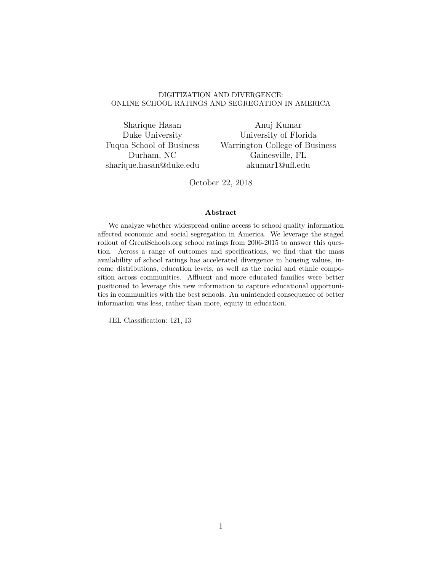### DIGITIZATION AND DIVERGENCE: ONLINE SCHOOL RATINGS AND SEGREGATION IN AMERICA

Sharique Hasan Duke University Fuqua School of Business Durham, NC sharique.hasan@duke.edu

Anuj Kumar University of Florida Warrington College of Business Gainesville, FL akumar1@ufl.edu

October 22, 2018

### **Abstract**

We analyze whether widespread online access to school quality information affected economic and social segregation in America. We leverage the staged rollout of GreatSchools.org school ratings from 2006-2015 to answer this question. Across a range of outcomes and specifications, we find that the mass availability of school ratings has accelerated divergence in housing values, income distributions, education levels, as well as the racial and ethnic composition across communities. Affluent and more educated families were better positioned to leverage this new information to capture educational opportunities in communities with the best schools. An unintended consequence of better information was less, rather than more, equity in education.

JEL Classification: I21, I3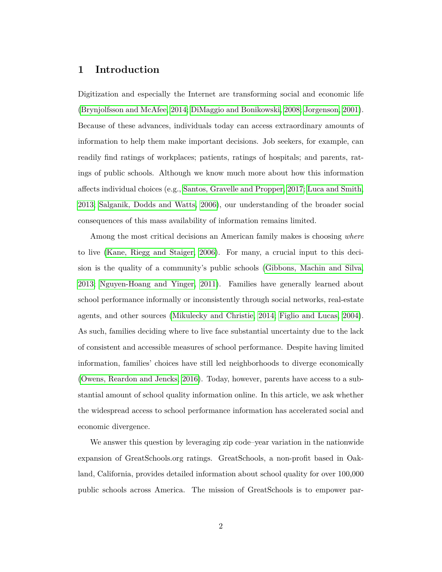## **1 Introduction**

Digitization and especially the Internet are transforming social and economic life [\(Brynjolfsson and McAfee, 2014;](#page-26-0) [DiMaggio and Bonikowski, 2008;](#page-26-1) [Jorgenson, 2001\)](#page-27-0). Because of these advances, individuals today can access extraordinary amounts of information to help them make important decisions. Job seekers, for example, can readily find ratings of workplaces; patients, ratings of hospitals; and parents, ratings of public schools. Although we know much more about how this information affects individual choices (e.g., [Santos, Gravelle and Propper, 2017;](#page-29-0) [Luca and Smith,](#page-27-1) [2013;](#page-27-1) [Salganik, Dodds and Watts, 2006\)](#page-28-0), our understanding of the broader social consequences of this mass availability of information remains limited.

Among the most critical decisions an American family makes is choosing *where* to live [\(Kane, Riegg and Staiger, 2006\)](#page-27-2). For many, a crucial input to this decision is the quality of a community's public schools [\(Gibbons, Machin and Silva,](#page-27-3) [2013;](#page-27-3) [Nguyen-Hoang and Yinger, 2011\)](#page-27-4). Families have generally learned about school performance informally or inconsistently through social networks, real-estate agents, and other sources [\(Mikulecky and Christie, 2014;](#page-27-5) [Figlio and Lucas, 2004\)](#page-27-6). As such, families deciding where to live face substantial uncertainty due to the lack of consistent and accessible measures of school performance. Despite having limited information, families' choices have still led neighborhoods to diverge economically [\(Owens, Reardon and Jencks, 2016\)](#page-28-1). Today, however, parents have access to a substantial amount of school quality information online. In this article, we ask whether the widespread access to school performance information has accelerated social and economic divergence.

We answer this question by leveraging zip code–year variation in the nationwide expansion of GreatSchools.org ratings. GreatSchools, a non-profit based in Oakland, California, provides detailed information about school quality for over 100,000 public schools across America. The mission of GreatSchools is to empower par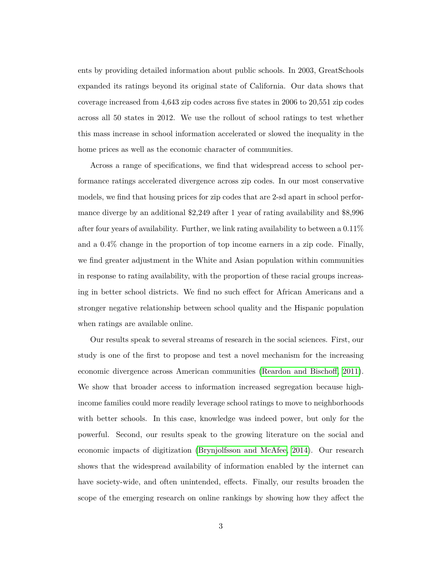ents by providing detailed information about public schools. In 2003, GreatSchools expanded its ratings beyond its original state of California. Our data shows that coverage increased from 4,643 zip codes across five states in 2006 to 20,551 zip codes across all 50 states in 2012. We use the rollout of school ratings to test whether this mass increase in school information accelerated or slowed the inequality in the home prices as well as the economic character of communities.

Across a range of specifications, we find that widespread access to school performance ratings accelerated divergence across zip codes. In our most conservative models, we find that housing prices for zip codes that are 2-sd apart in school performance diverge by an additional \$2,249 after 1 year of rating availability and \$8,996 after four years of availability. Further, we link rating availability to between a  $0.11\%$ and a 0.4% change in the proportion of top income earners in a zip code. Finally, we find greater adjustment in the White and Asian population within communities in response to rating availability, with the proportion of these racial groups increasing in better school districts. We find no such effect for African Americans and a stronger negative relationship between school quality and the Hispanic population when ratings are available online.

Our results speak to several streams of research in the social sciences. First, our study is one of the first to propose and test a novel mechanism for the increasing economic divergence across American communities [\(Reardon and Bischoff, 2011\)](#page-28-2). We show that broader access to information increased segregation because highincome families could more readily leverage school ratings to move to neighborhoods with better schools. In this case, knowledge was indeed power, but only for the powerful. Second, our results speak to the growing literature on the social and economic impacts of digitization [\(Brynjolfsson and McAfee, 2014\)](#page-26-0). Our research shows that the widespread availability of information enabled by the internet can have society-wide, and often unintended, effects. Finally, our results broaden the scope of the emerging research on online rankings by showing how they affect the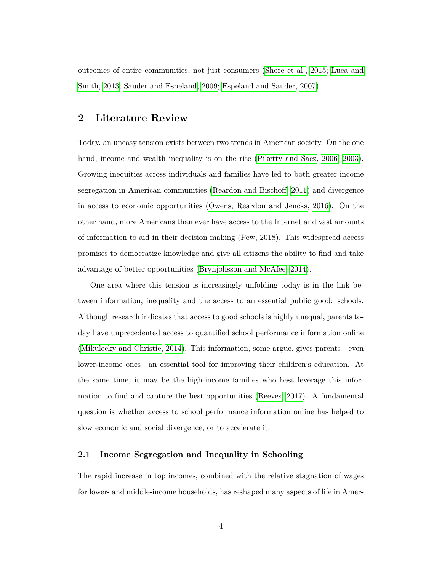outcomes of entire communities, not just consumers [\(Shore et al., 2015;](#page-29-1) [Luca and](#page-27-1) [Smith, 2013;](#page-27-1) [Sauder and Espeland, 2009;](#page-29-2) [Espeland and Sauder, 2007\)](#page-26-2).

# **2 Literature Review**

Today, an uneasy tension exists between two trends in American society. On the one hand, income and wealth inequality is on the rise [\(Piketty and Saez, 2006,](#page-28-3) [2003\)](#page-28-4). Growing inequities across individuals and families have led to both greater income segregation in American communities [\(Reardon and Bischoff, 2011\)](#page-28-2) and divergence in access to economic opportunities [\(Owens, Reardon and Jencks, 2016\)](#page-28-1). On the other hand, more Americans than ever have access to the Internet and vast amounts of information to aid in their decision making (Pew, 2018). This widespread access promises to democratize knowledge and give all citizens the ability to find and take advantage of better opportunities [\(Brynjolfsson and McAfee, 2014\)](#page-26-0).

One area where this tension is increasingly unfolding today is in the link between information, inequality and the access to an essential public good: schools. Although research indicates that access to good schools is highly unequal, parents today have unprecedented access to quantified school performance information online [\(Mikulecky and Christie, 2014\)](#page-27-5). This information, some argue, gives parents—even lower-income ones—an essential tool for improving their children's education. At the same time, it may be the high-income families who best leverage this information to find and capture the best opportunities [\(Reeves, 2017\)](#page-28-5). A fundamental question is whether access to school performance information online has helped to slow economic and social divergence, or to accelerate it.

### **2.1 Income Segregation and Inequality in Schooling**

The rapid increase in top incomes, combined with the relative stagnation of wages for lower- and middle-income households, has reshaped many aspects of life in Amer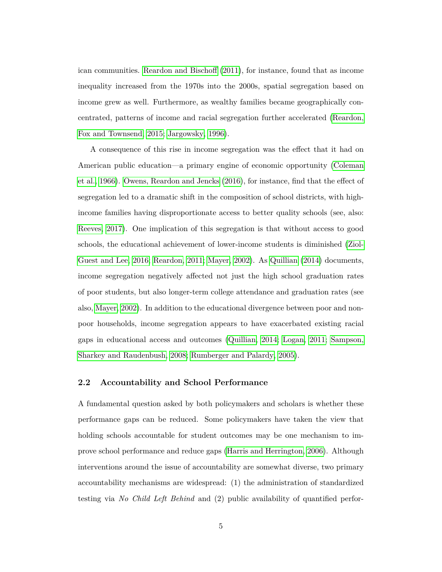ican communities. [Reardon and Bischoff](#page-28-2) [\(2011\)](#page-28-2), for instance, found that as income inequality increased from the 1970s into the 2000s, spatial segregation based on income grew as well. Furthermore, as wealthy families became geographically concentrated, patterns of income and racial segregation further accelerated [\(Reardon,](#page-28-6) [Fox and Townsend, 2015;](#page-28-6) [Jargowsky, 1996\)](#page-27-7).

A consequence of this rise in income segregation was the effect that it had on American public education—a primary engine of economic opportunity [\(Coleman](#page-26-3) [et al., 1966\)](#page-26-3). [Owens, Reardon and Jencks](#page-28-1) [\(2016\)](#page-28-1), for instance, find that the effect of segregation led to a dramatic shift in the composition of school districts, with highincome families having disproportionate access to better quality schools (see, also: [Reeves, 2017\)](#page-28-5). One implication of this segregation is that without access to good schools, the educational achievement of lower-income students is diminished [\(Ziol-](#page-29-3)[Guest and Lee, 2016;](#page-29-3) [Reardon, 2011;](#page-28-7) [Mayer, 2002\)](#page-27-8). As [Quillian](#page-28-8) [\(2014\)](#page-28-8) documents, income segregation negatively affected not just the high school graduation rates of poor students, but also longer-term college attendance and graduation rates (see also, [Mayer, 2002\)](#page-27-8). In addition to the educational divergence between poor and nonpoor households, income segregation appears to have exacerbated existing racial gaps in educational access and outcomes [\(Quillian, 2014;](#page-28-8) [Logan, 2011;](#page-27-9) [Sampson,](#page-28-9) [Sharkey and Raudenbush, 2008;](#page-28-9) [Rumberger and Palardy, 2005\)](#page-28-10).

### **2.2 Accountability and School Performance**

A fundamental question asked by both policymakers and scholars is whether these performance gaps can be reduced. Some policymakers have taken the view that holding schools accountable for student outcomes may be one mechanism to improve school performance and reduce gaps [\(Harris and Herrington, 2006\)](#page-27-10). Although interventions around the issue of accountability are somewhat diverse, two primary accountability mechanisms are widespread: (1) the administration of standardized testing via *No Child Left Behind* and (2) public availability of quantified perfor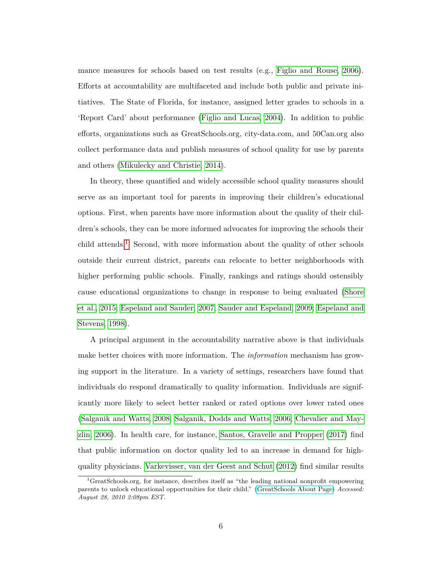mance measures for schools based on test results (e.g., [Figlio and Rouse, 2006\)](#page-26-4). Efforts at accountability are multifaceted and include both public and private initiatives. The State of Florida, for instance, assigned letter grades to schools in a 'Report Card' about performance [\(Figlio and Lucas, 2004\)](#page-27-6). In addition to public efforts, organizations such as GreatSchools.org, city-data.com, and 50Can.org also collect performance data and publish measures of school quality for use by parents and others [\(Mikulecky and Christie, 2014\)](#page-27-5).

In theory, these quantified and widely accessible school quality measures should serve as an important tool for parents in improving their children's educational options. First, when parents have more information about the quality of their children's schools, they can be more informed advocates for improving the schools their child attends.<sup>[1](#page-5-0)</sup> Second, with more information about the quality of other schools outside their current district, parents can relocate to better neighborhoods with higher performing public schools. Finally, rankings and ratings should ostensibly cause educational organizations to change in response to being evaluated [\(Shore](#page-29-1) [et al., 2015;](#page-29-1) [Espeland and Sauder, 2007;](#page-26-2) [Sauder and Espeland, 2009;](#page-29-2) [Espeland and](#page-26-5) [Stevens, 1998\)](#page-26-5).

A principal argument in the accountability narrative above is that individuals make better choices with more information. The *information* mechanism has growing support in the literature. In a variety of settings, researchers have found that individuals do respond dramatically to quality information. Individuals are significantly more likely to select better ranked or rated options over lower rated ones [\(Salganik and Watts, 2008;](#page-28-11) [Salganik, Dodds and Watts, 2006;](#page-28-0) [Chevalier and May](#page-26-6)[zlin, 2006\)](#page-26-6). In health care, for instance, [Santos, Gravelle and Propper](#page-29-0) [\(2017\)](#page-29-0) find that public information on doctor quality led to an increase in demand for highquality physicians. [Varkevisser, van der Geest and Schut](#page-29-4) [\(2012\)](#page-29-4) find similar results

<span id="page-5-0"></span><sup>1</sup>GreatSchools.org, for instance, describes itself as "the leading national nonprofit empowering parents to unlock educational opportunities for their child." [\(GreatSchools About Page\)](https://www.greatschools.org/gk/about/) *Accessed: August 28, 2010 2:08pm EST.*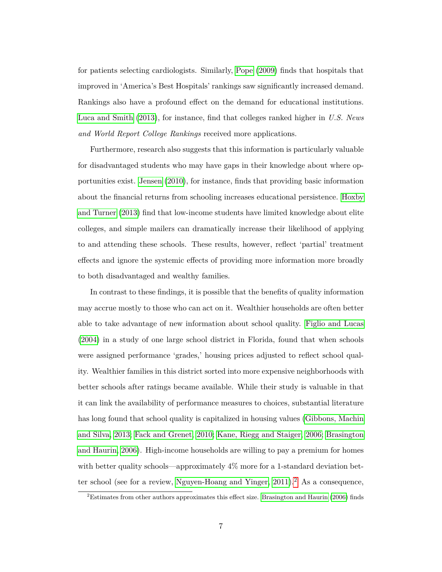for patients selecting cardiologists. Similarly, [Pope](#page-28-12) [\(2009\)](#page-28-12) finds that hospitals that improved in 'America's Best Hospitals' rankings saw significantly increased demand. Rankings also have a profound effect on the demand for educational institutions. [Luca and Smith](#page-27-1) [\(2013\)](#page-27-1), for instance, find that colleges ranked higher in *U.S. News and World Report College Rankings* received more applications.

Furthermore, research also suggests that this information is particularly valuable for disadvantaged students who may have gaps in their knowledge about where opportunities exist. [Jensen](#page-27-11) [\(2010\)](#page-27-11), for instance, finds that providing basic information about the financial returns from schooling increases educational persistence. [Hoxby](#page-27-12) [and Turner](#page-27-12) [\(2013\)](#page-27-12) find that low-income students have limited knowledge about elite colleges, and simple mailers can dramatically increase their likelihood of applying to and attending these schools. These results, however, reflect 'partial' treatment effects and ignore the systemic effects of providing more information more broadly to both disadvantaged and wealthy families.

In contrast to these findings, it is possible that the benefits of quality information may accrue mostly to those who can act on it. Wealthier households are often better able to take advantage of new information about school quality. [Figlio and Lucas](#page-27-6) [\(2004\)](#page-27-6) in a study of one large school district in Florida, found that when schools were assigned performance 'grades,' housing prices adjusted to reflect school quality. Wealthier families in this district sorted into more expensive neighborhoods with better schools after ratings became available. While their study is valuable in that it can link the availability of performance measures to choices, substantial literature has long found that school quality is capitalized in housing values [\(Gibbons, Machin](#page-27-3) [and Silva, 2013;](#page-27-3) [Fack and Grenet, 2010;](#page-26-7) [Kane, Riegg and Staiger, 2006;](#page-27-2) [Brasington](#page-26-8) [and Haurin, 2006\)](#page-26-8). High-income households are willing to pay a premium for homes with better quality schools—approximately 4% more for a 1-standard deviation better school (see for a review, Nguyen-Hoang and Yinger,  $2011$  $2011$ ).<sup>2</sup> As a consequence,

<span id="page-6-0"></span> ${}^{2}$ Estimates from other authors approximates this effect size. [Brasington and Haurin](#page-26-8) [\(2006\)](#page-26-8) finds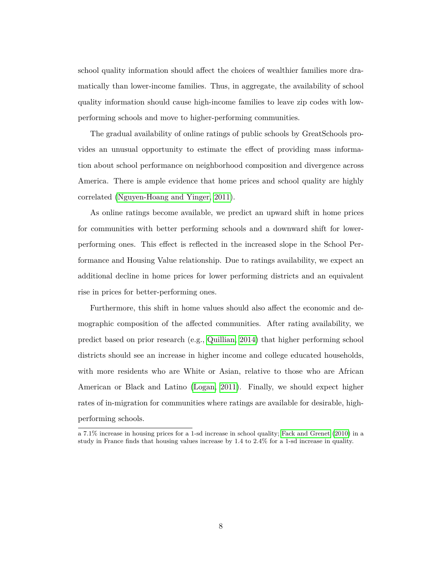school quality information should affect the choices of wealthier families more dramatically than lower-income families. Thus, in aggregate, the availability of school quality information should cause high-income families to leave zip codes with lowperforming schools and move to higher-performing communities.

The gradual availability of online ratings of public schools by GreatSchools provides an unusual opportunity to estimate the effect of providing mass information about school performance on neighborhood composition and divergence across America. There is ample evidence that home prices and school quality are highly correlated [\(Nguyen-Hoang and Yinger, 2011\)](#page-27-4).

As online ratings become available, we predict an upward shift in home prices for communities with better performing schools and a downward shift for lowerperforming ones. This effect is reflected in the increased slope in the School Performance and Housing Value relationship. Due to ratings availability, we expect an additional decline in home prices for lower performing districts and an equivalent rise in prices for better-performing ones.

Furthermore, this shift in home values should also affect the economic and demographic composition of the affected communities. After rating availability, we predict based on prior research (e.g., [Quillian, 2014\)](#page-28-8) that higher performing school districts should see an increase in higher income and college educated households, with more residents who are White or Asian, relative to those who are African American or Black and Latino [\(Logan, 2011\)](#page-27-9). Finally, we should expect higher rates of in-migration for communities where ratings are available for desirable, highperforming schools.

a 7.1% increase in housing prices for a 1-sd increase in school quality; [Fack and Grenet](#page-26-7) [\(2010\)](#page-26-7) in a study in France finds that housing values increase by 1.4 to 2.4% for a 1-sd increase in quality.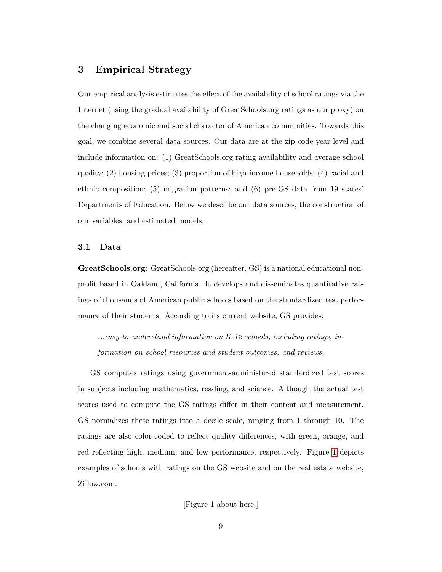# **3 Empirical Strategy**

Our empirical analysis estimates the effect of the availability of school ratings via the Internet (using the gradual availability of GreatSchools.org ratings as our proxy) on the changing economic and social character of American communities. Towards this goal, we combine several data sources. Our data are at the zip code-year level and include information on: (1) GreatSchools.org rating availability and average school quality; (2) housing prices; (3) proportion of high-income households; (4) racial and ethnic composition; (5) migration patterns; and (6) pre-GS data from 19 states' Departments of Education. Below we describe our data sources, the construction of our variables, and estimated models.

### **3.1 Data**

**GreatSchools.org**: GreatSchools.org (hereafter, GS) is a national educational nonprofit based in Oakland, California. It develops and disseminates quantitative ratings of thousands of American public schools based on the standardized test performance of their students. According to its current website, GS provides:

*...easy-to-understand information on K-12 schools, including ratings, information on school resources and student outcomes, and reviews.*

GS computes ratings using government-administered standardized test scores in subjects including mathematics, reading, and science. Although the actual test scores used to compute the GS ratings differ in their content and measurement, GS normalizes these ratings into a decile scale, ranging from 1 through 10. The ratings are also color-coded to reflect quality differences, with green, orange, and red reflecting high, medium, and low performance, respectively. Figure [1](#page-30-0) depicts examples of schools with ratings on the GS website and on the real estate website, Zillow.com.

[Figure 1 about here.]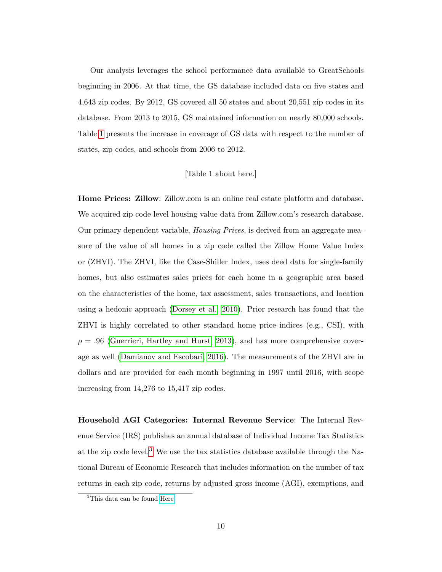Our analysis leverages the school performance data available to GreatSchools beginning in 2006. At that time, the GS database included data on five states and 4,643 zip codes. By 2012, GS covered all 50 states and about 20,551 zip codes in its database. From 2013 to 2015, GS maintained information on nearly 80,000 schools. Table [1](#page-33-0) presents the increase in coverage of GS data with respect to the number of states, zip codes, and schools from 2006 to 2012.

### [Table 1 about here.]

**Home Prices: Zillow**: Zillow.com is an online real estate platform and database. We acquired zip code level housing value data from Zillow.com's research database. Our primary dependent variable, *Housing Prices*, is derived from an aggregate measure of the value of all homes in a zip code called the Zillow Home Value Index or (ZHVI). The ZHVI, like the Case-Shiller Index, uses deed data for single-family homes, but also estimates sales prices for each home in a geographic area based on the characteristics of the home, tax assessment, sales transactions, and location using a hedonic approach [\(Dorsey et al., 2010\)](#page-26-9). Prior research has found that the ZHVI is highly correlated to other standard home price indices (e.g., CSI), with  $\rho = .96$  [\(Guerrieri, Hartley and Hurst, 2013\)](#page-27-13), and has more comprehensive coverage as well [\(Damianov and Escobari, 2016\)](#page-26-10). The measurements of the ZHVI are in dollars and are provided for each month beginning in 1997 until 2016, with scope increasing from 14,276 to 15,417 zip codes.

**Household AGI Categories: Internal Revenue Service**: The Internal Revenue Service (IRS) publishes an annual database of Individual Income Tax Statistics at the zip code level.<sup>[3](#page-9-0)</sup> We use the tax statistics database available through the National Bureau of Economic Research that includes information on the number of tax returns in each zip code, returns by adjusted gross income (AGI), exemptions, and

<span id="page-9-0"></span><sup>3</sup>This data can be found [Here](https://www.irs.gov/statistics/soi-tax-stats-individual-income-tax-statistics-zip-code-data-soi)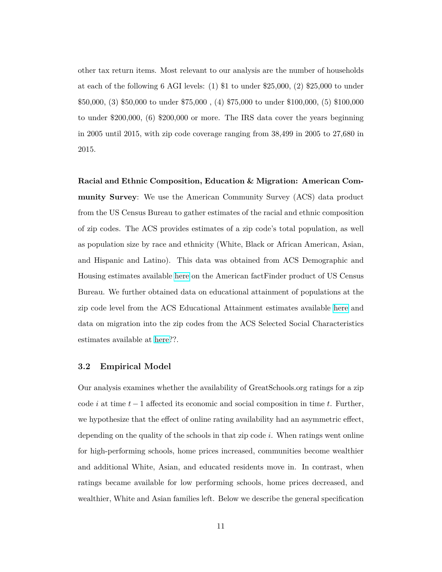other tax return items. Most relevant to our analysis are the number of households at each of the following 6 AGI levels: (1) \$1 to under \$25,000, (2) \$25,000 to under \$50,000, (3) \$50,000 to under \$75,000 , (4) \$75,000 to under \$100,000, (5) \$100,000 to under \$200,000, (6) \$200,000 or more. The IRS data cover the years beginning in 2005 until 2015, with zip code coverage ranging from 38,499 in 2005 to 27,680 in 2015.

**Racial and Ethnic Composition, Education & Migration: American Community Survey**: We use the American Community Survey (ACS) data product from the US Census Bureau to gather estimates of the racial and ethnic composition of zip codes. The ACS provides estimates of a zip code's total population, as well as population size by race and ethnicity (White, Black or African American, Asian, and Hispanic and Latino). This data was obtained from ACS Demographic and Housing estimates available [here](https://factfinder.census.gov/faces/tableservices/jsf/pages/productview.xhtml?pid=ACS165YRDP05&src=pt) on the American factFinder product of US Census Bureau. We further obtained data on educational attainment of populations at the zip code level from the ACS Educational Attainment estimates available [here](https://factfinder.census.gov/faces/tableservices/jsf/pages/productview.xhtml?pid=ACS_16_5YR_S1501&src=pt) and data on migration into the zip codes from the ACS Selected Social Characteristics estimates available at [here?](https://factfinder.census.gov/faces/tableservices/jsf/pages/productview.xhtml?pid=ACS_16_5YR_DP02&src=pt)?.

### **3.2 Empirical Model**

Our analysis examines whether the availability of GreatSchools.org ratings for a zip code *i* at time *t* − 1 affected its economic and social composition in time *t*. Further, we hypothesize that the effect of online rating availability had an asymmetric effect, depending on the quality of the schools in that zip code *i*. When ratings went online for high-performing schools, home prices increased, communities become wealthier and additional White, Asian, and educated residents move in. In contrast, when ratings became available for low performing schools, home prices decreased, and wealthier, White and Asian families left. Below we describe the general specification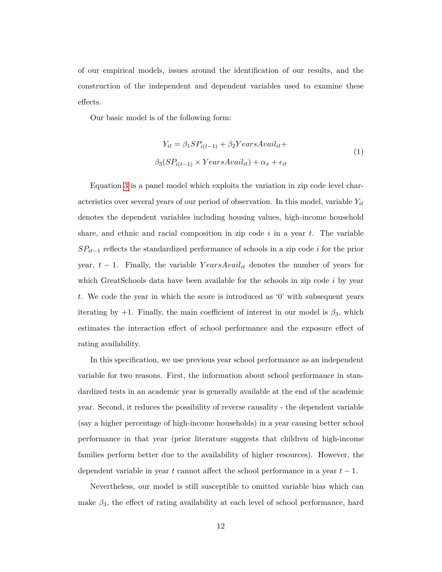of our empirical models, issues around the identification of our results, and the construction of the independent and dependent variables used to examine these effects.

Our basic model is of the following form:

$$
Y_{it} = \beta_1 SP_{i(t-1)} + \beta_2 YearsAvail_{it} +
$$
  

$$
\beta_3 (SP_{i(t-1)} \times YearsAvail_{it}) + \alpha_x + \epsilon_{it}
$$
 (1)

Equation [3](#page-21-0) is a panel model which exploits the variation in zip code level characteristics over several years of our period of observation. In this model, variable *Yit* denotes the dependent variables including housing values, high-income household share, and ethnic and racial composition in zip code *i* in a year *t*. The variable *SPit*−<sup>1</sup> reflects the standardized performance of schools in a zip code *i* for the prior year, *t* − 1. Finally, the variable *Y earsAvailit* denotes the number of years for which GreatSchools data have been available for the schools in zip code *i* by year *t*. We code the year in which the score is introduced as '0' with subsequent years iterating by  $+1$ . Finally, the main coefficient of interest in our model is  $\beta_3$ , which estimates the interaction effect of school performance and the exposure effect of rating availability.

In this specification, we use previous year school performance as an independent variable for two reasons. First, the information about school performance in standardized tests in an academic year is generally available at the end of the academic year. Second, it reduces the possibility of reverse causality - the dependent variable (say a higher percentage of high-income households) in a year causing better school performance in that year (prior literature suggests that children of high-income families perform better due to the availability of higher resources). However, the dependent variable in year *t* cannot affect the school performance in a year *t* − 1.

Nevertheless, our model is still susceptible to omitted variable bias which can make  $\beta_3$ , the effect of rating availability at each level of school performance, hard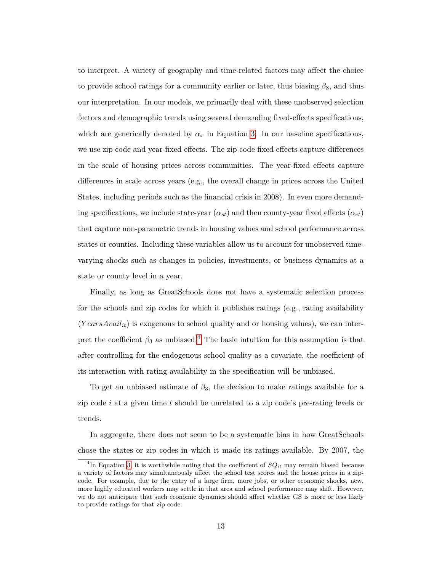to interpret. A variety of geography and time-related factors may affect the choice to provide school ratings for a community earlier or later, thus biasing *β*3, and thus our interpretation. In our models, we primarily deal with these unobserved selection factors and demographic trends using several demanding fixed-effects specifications, which are generically denoted by  $\alpha_x$  in Equation [3.](#page-21-0) In our baseline specifications, we use zip code and year-fixed effects. The zip code fixed effects capture differences in the scale of housing prices across communities. The year-fixed effects capture differences in scale across years (e.g., the overall change in prices across the United States, including periods such as the financial crisis in 2008). In even more demanding specifications, we include state-year  $(\alpha_{st})$  and then county-year fixed effects  $(\alpha_{ct})$ that capture non-parametric trends in housing values and school performance across states or counties. Including these variables allow us to account for unobserved timevarying shocks such as changes in policies, investments, or business dynamics at a state or county level in a year.

Finally, as long as GreatSchools does not have a systematic selection process for the schools and zip codes for which it publishes ratings (e.g., rating availability  $(YearsAvailable)$  is exogenous to school quality and or housing values), we can interpret the coefficient  $\beta_3$  as unbiased.<sup>[4](#page-12-0)</sup> The basic intuition for this assumption is that after controlling for the endogenous school quality as a covariate, the coefficient of its interaction with rating availability in the specification will be unbiased.

To get an unbiased estimate of  $\beta_3$ , the decision to make ratings available for a zip code *i* at a given time *t* should be unrelated to a zip code's pre-rating levels or trends.

In aggregate, there does not seem to be a systematic bias in how GreatSchools chose the states or zip codes in which it made its ratings available. By 2007, the

<span id="page-12-0"></span><sup>&</sup>lt;sup>4</sup>In Equation [3,](#page-21-0) it is worthwhile noting that the coefficient of  $SQ_{it}$  may remain biased because a variety of factors may simultaneously affect the school test scores and the house prices in a zipcode. For example, due to the entry of a large firm, more jobs, or other economic shocks, new, more highly educated workers may settle in that area and school performance may shift. However, we do not anticipate that such economic dynamics should affect whether GS is more or less likely to provide ratings for that zip code.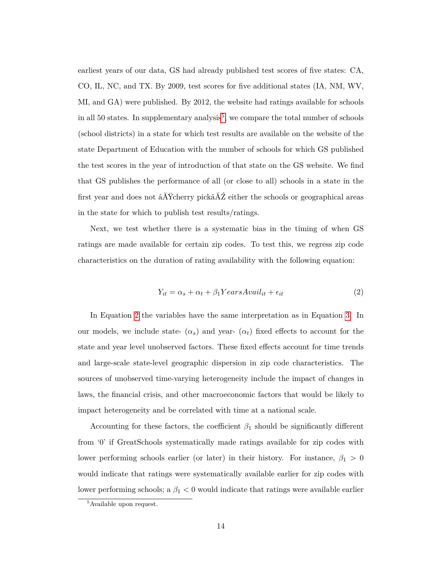earliest years of our data, GS had already published test scores of five states: CA, CO, IL, NC, and TX. By 2009, test scores for five additional states (IA, NM, WV, MI, and GA) were published. By 2012, the website had ratings available for schools in all [5](#page-13-0)0 states. In supplementary analysis<sup>5</sup>, we compare the total number of schools (school districts) in a state for which test results are available on the website of the state Department of Education with the number of schools for which GS published the test scores in the year of introduction of that state on the GS website. We find that GS publishes the performance of all (or close to all) schools in a state in the first year and does not âĂŸcherry pickâĂŹ either the schools or geographical areas in the state for which to publish test results/ratings.

Next, we test whether there is a systematic bias in the timing of when GS ratings are made available for certain zip codes. To test this, we regress zip code characteristics on the duration of rating availability with the following equation:

<span id="page-13-1"></span>
$$
Y_{it} = \alpha_s + \alpha_t + \beta_1 YearsAvail_{it} + \epsilon_{it}
$$
\n(2)

In Equation [2](#page-13-1) the variables have the same interpretation as in Equation [3.](#page-21-0) In our models, we include state-  $(\alpha_s)$  and year-  $(\alpha_t)$  fixed effects to account for the state and year level unobserved factors. These fixed effects account for time trends and large-scale state-level geographic dispersion in zip code characteristics. The sources of unobserved time-varying heterogeneity include the impact of changes in laws, the financial crisis, and other macroeconomic factors that would be likely to impact heterogeneity and be correlated with time at a national scale.

Accounting for these factors, the coefficient  $\beta_1$  should be significantly different from '0' if GreatSchools systematically made ratings available for zip codes with lower performing schools earlier (or later) in their history. For instance,  $\beta_1 > 0$ would indicate that ratings were systematically available earlier for zip codes with lower performing schools; a *β*<sup>1</sup> *<* 0 would indicate that ratings were available earlier

<span id="page-13-0"></span><sup>5</sup>Available upon request.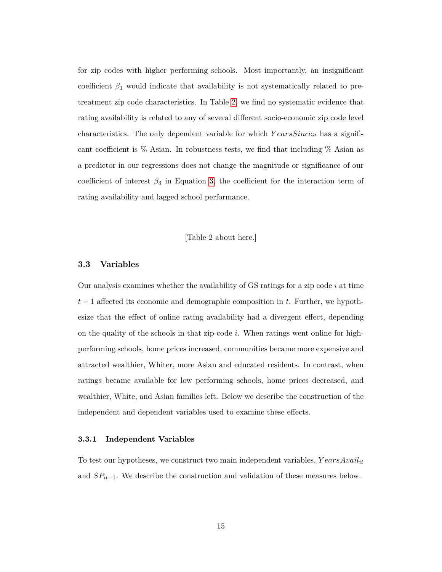for zip codes with higher performing schools. Most importantly, an insignificant coefficient  $\beta_1$  would indicate that availability is not systematically related to pretreatment zip code characteristics. In Table [2,](#page-34-0) we find no systematic evidence that rating availability is related to any of several different socio-economic zip code level characteristics. The only dependent variable for which *Y earsSinceit* has a significant coefficient is % Asian. In robustness tests, we find that including % Asian as a predictor in our regressions does not change the magnitude or significance of our coefficient of interest  $\beta_3$  in Equation [3,](#page-21-0) the coefficient for the interaction term of rating availability and lagged school performance.

[Table 2 about here.]

### **3.3 Variables**

Our analysis examines whether the availability of GS ratings for a zip code *i* at time *t* − 1 affected its economic and demographic composition in *t*. Further, we hypothesize that the effect of online rating availability had a divergent effect, depending on the quality of the schools in that zip-code *i*. When ratings went online for highperforming schools, home prices increased, communities became more expensive and attracted wealthier, Whiter, more Asian and educated residents. In contrast, when ratings became available for low performing schools, home prices decreased, and wealthier, White, and Asian families left. Below we describe the construction of the independent and dependent variables used to examine these effects.

### **3.3.1 Independent Variables**

To test our hypotheses, we construct two main independent variables, *Y earsAvailit* and *SPit*−1. We describe the construction and validation of these measures below.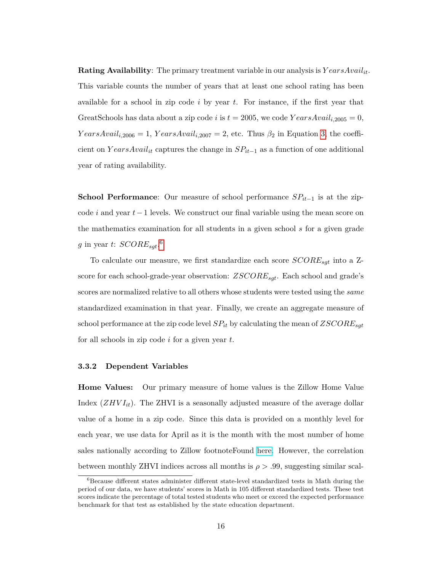**Rating Availability**: The primary treatment variable in our analysis is *Y earsAvailit*. This variable counts the number of years that at least one school rating has been available for a school in zip code *i* by year *t*. For instance, if the first year that GreatSchools has data about a zip code *i* is  $t = 2005$ , we code  $YearsAvail_{i,2005} = 0$ ,  $YearsAvail<sub>i,2006</sub> = 1, *YearsAvail<sub>i,2007</sub> = 2*, etc. Thus  $\beta_2$  in Equation 3, the coefficient$  $YearsAvail<sub>i,2006</sub> = 1, *YearsAvail<sub>i,2007</sub> = 2*, etc. Thus  $\beta_2$  in Equation 3, the coefficient$  $YearsAvail<sub>i,2006</sub> = 1, *YearsAvail<sub>i,2007</sub> = 2*, etc. Thus  $\beta_2$  in Equation 3, the coefficient$ cient on *Y earsAvailit* captures the change in *SPit*−<sup>1</sup> as a function of one additional year of rating availability.

**School Performance**: Our measure of school performance *SPit*−<sup>1</sup> is at the zipcode *i* and year *t*−1 levels. We construct our final variable using the mean score on the mathematics examination for all students in a given school *s* for a given grade *g* in year *t*: *SCOREsgt*. [6](#page-15-0)

To calculate our measure, we first standardize each score *SCOREsgt* into a Zscore for each school-grade-year observation: *ZSCOREsgt*. Each school and grade's scores are normalized relative to all others whose students were tested using the *same* standardized examination in that year. Finally, we create an aggregate measure of school performance at the zip code level *SPit* by calculating the mean of *ZSCOREsgt* for all schools in zip code *i* for a given year *t*.

### **3.3.2 Dependent Variables**

**Home Values:** Our primary measure of home values is the Zillow Home Value Index (*ZHV Iit*). The ZHVI is a seasonally adjusted measure of the average dollar value of a home in a zip code. Since this data is provided on a monthly level for each year, we use data for April as it is the month with the most number of home sales nationally according to Zillow footnoteFound [here.](https://www.zillow.com/research/strategy-best-time-to-buy-15066/) However, the correlation between monthly ZHVI indices across all months is  $\rho > .99$ , suggesting similar scal-

<span id="page-15-0"></span> ${}^{6}$ Because different states administer different state-level standardized tests in Math during the period of our data, we have students' scores in Math in 105 different standardized tests. These test scores indicate the percentage of total tested students who meet or exceed the expected performance benchmark for that test as established by the state education department.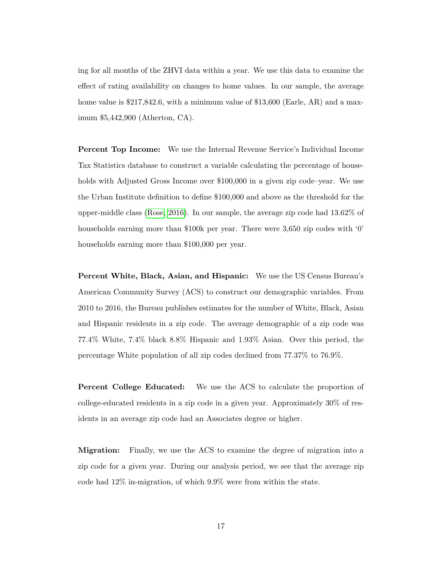ing for all months of the ZHVI data within a year. We use this data to examine the effect of rating availability on changes to home values. In our sample, the average home value is \$217,842.6, with a minimum value of \$13,600 (Earle, AR) and a maximum \$5,442,900 (Atherton, CA).

**Percent Top Income:** We use the Internal Revenue Service's Individual Income Tax Statistics database to construct a variable calculating the percentage of households with Adjusted Gross Income over \$100,000 in a given zip code–year. We use the Urban Institute definition to define \$100,000 and above as the threshold for the upper-middle class [\(Rose, 2016\)](#page-28-13). In our sample, the average zip code had 13.62% of households earning more than \$100k per year. There were 3,650 zip codes with '0' households earning more than \$100,000 per year.

**Percent White, Black, Asian, and Hispanic:** We use the US Census Bureau's American Community Survey (ACS) to construct our demographic variables. From 2010 to 2016, the Bureau publishes estimates for the number of White, Black, Asian and Hispanic residents in a zip code. The average demographic of a zip code was 77.4% White, 7.4% black 8.8% Hispanic and 1.93% Asian. Over this period, the percentage White population of all zip codes declined from 77.37% to 76.9%.

**Percent College Educated:** We use the ACS to calculate the proportion of college-educated residents in a zip code in a given year. Approximately 30% of residents in an average zip code had an Associates degree or higher.

**Migration:** Finally, we use the ACS to examine the degree of migration into a zip code for a given year. During our analysis period, we see that the average zip code had 12% in-migration, of which 9.9% were from within the state.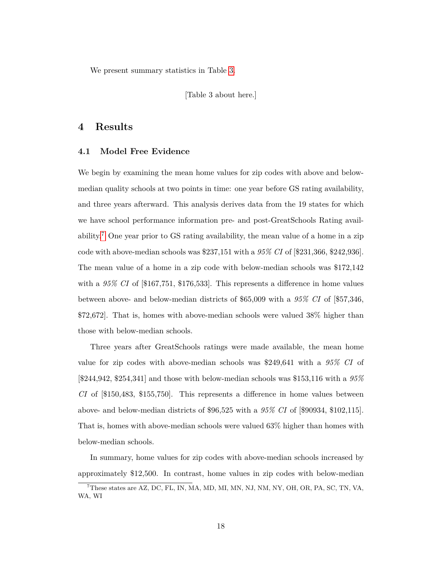We present summary statistics in Table [3.](#page-35-0)

[Table 3 about here.]

### **4 Results**

### **4.1 Model Free Evidence**

We begin by examining the mean home values for zip codes with above and belowmedian quality schools at two points in time: one year before GS rating availability, and three years afterward. This analysis derives data from the 19 states for which we have school performance information pre- and post-GreatSchools Rating avail-ability.<sup>[7](#page-17-0)</sup> One year prior to GS rating availability, the mean value of a home in a zip code with above-median schools was \$237,151 with a *95% CI* of [\$231,366, \$242,936]. The mean value of a home in a zip code with below-median schools was \$172,142 with a *95% CI* of [\$167,751, \$176,533]. This represents a difference in home values between above- and below-median districts of \$65,009 with a *95% CI* of [\$57,346, \$72,672]. That is, homes with above-median schools were valued 38% higher than those with below-median schools.

Three years after GreatSchools ratings were made available, the mean home value for zip codes with above-median schools was \$249,641 with a *95% CI* of [\$244,942, \$254,341] and those with below-median schools was \$153,116 with a *95% CI* of [\$150,483, \$155,750]. This represents a difference in home values between above- and below-median districts of \$96,525 with a *95% CI* of [\$90934, \$102,115]. That is, homes with above-median schools were valued 63% higher than homes with below-median schools.

In summary, home values for zip codes with above-median schools increased by approximately \$12,500. In contrast, home values in zip codes with below-median

<span id="page-17-0"></span><sup>7</sup>These states are AZ, DC, FL, IN, MA, MD, MI, MN, NJ, NM, NY, OH, OR, PA, SC, TN, VA, WA, WI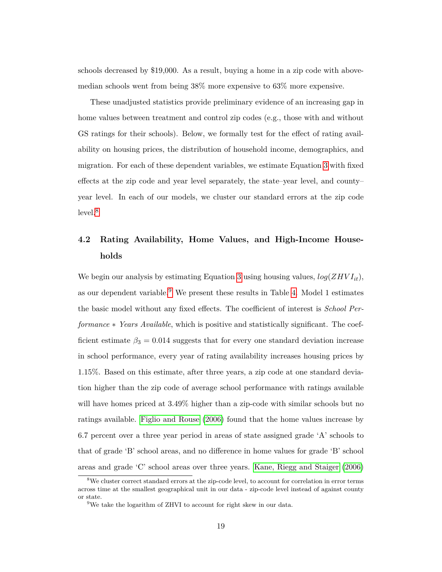schools decreased by \$19,000. As a result, buying a home in a zip code with abovemedian schools went from being 38% more expensive to 63% more expensive.

These unadjusted statistics provide preliminary evidence of an increasing gap in home values between treatment and control zip codes (e.g., those with and without GS ratings for their schools). Below, we formally test for the effect of rating availability on housing prices, the distribution of household income, demographics, and migration. For each of these dependent variables, we estimate Equation [3](#page-21-0) with fixed effects at the zip code and year level separately, the state–year level, and county– year level. In each of our models, we cluster our standard errors at the zip code level.<sup>[8](#page-18-0)</sup>

# **4.2 Rating Availability, Home Values, and High-Income Households**

We begin our analysis by estimating Equation [3](#page-21-0) using housing values, *log*(*ZHV Iit*), as our dependent variable.<sup>[9](#page-18-1)</sup> We present these results in Table [4.](#page-36-0) Model 1 estimates the basic model without any fixed effects. The coefficient of interest is *School Performance* ∗ *Years Available*, which is positive and statistically significant. The coefficient estimate  $\beta_3 = 0.014$  suggests that for every one standard deviation increase in school performance, every year of rating availability increases housing prices by 1.15%. Based on this estimate, after three years, a zip code at one standard deviation higher than the zip code of average school performance with ratings available will have homes priced at  $3.49\%$  higher than a zip-code with similar schools but no ratings available. [Figlio and Rouse](#page-26-4) [\(2006\)](#page-26-4) found that the home values increase by 6.7 percent over a three year period in areas of state assigned grade 'A' schools to that of grade 'B' school areas, and no difference in home values for grade 'B' school areas and grade 'C' school areas over three years. [Kane, Riegg and Staiger](#page-27-2) [\(2006\)](#page-27-2)

<span id="page-18-0"></span><sup>&</sup>lt;sup>8</sup>We cluster correct standard errors at the zip-code level, to account for correlation in error terms across time at the smallest geographical unit in our data - zip-code level instead of against county or state.

<span id="page-18-1"></span> $9$ We take the logarithm of ZHVI to account for right skew in our data.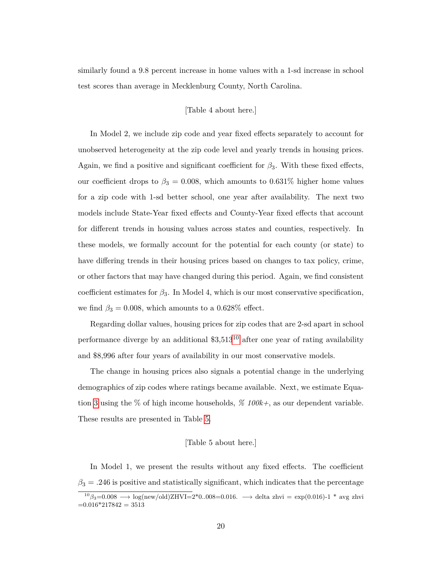similarly found a 9.8 percent increase in home values with a 1-sd increase in school test scores than average in Mecklenburg County, North Carolina.

### [Table 4 about here.]

In Model 2, we include zip code and year fixed effects separately to account for unobserved heterogeneity at the zip code level and yearly trends in housing prices. Again, we find a positive and significant coefficient for  $\beta_3$ . With these fixed effects, our coefficient drops to  $\beta_3 = 0.008$ , which amounts to 0.631% higher home values for a zip code with 1-sd better school, one year after availability. The next two models include State-Year fixed effects and County-Year fixed effects that account for different trends in housing values across states and counties, respectively. In these models, we formally account for the potential for each county (or state) to have differing trends in their housing prices based on changes to tax policy, crime, or other factors that may have changed during this period. Again, we find consistent coefficient estimates for  $\beta_3$ . In Model 4, which is our most conservative specification, we find  $\beta_3 = 0.008$ , which amounts to a 0.628% effect.

Regarding dollar values, housing prices for zip codes that are 2-sd apart in school performance diverge by an additional  $$3,513^{10}$  $$3,513^{10}$  $$3,513^{10}$  after one year of rating availability and \$8,996 after four years of availability in our most conservative models.

The change in housing prices also signals a potential change in the underlying demographics of zip codes where ratings became available. Next, we estimate Equation [3](#page-21-0) using the % of high income households, *% 100k+*, as our dependent variable. These results are presented in Table [5.](#page-37-0)

### [Table 5 about here.]

In Model 1, we present the results without any fixed effects. The coefficient  $\beta_3 = .246$  is positive and statistically significant, which indicates that the percentage

<span id="page-19-0"></span><sup>&</sup>lt;sup>10</sup>*β*<sub>3</sub>=0.008 → log(new/old)ZHVI=2<sup>\*</sup>0..008=0.016. → delta zhvi = exp(0.016)-1 <sup>\*</sup> avg zhvi  $=0.016*217842 = 3513$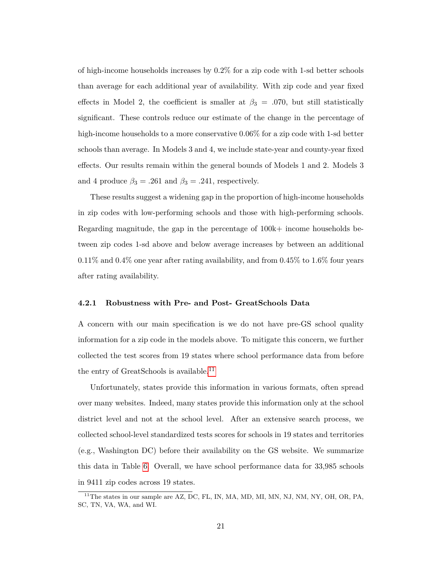of high-income households increases by 0.2% for a zip code with 1-sd better schools than average for each additional year of availability. With zip code and year fixed effects in Model 2, the coefficient is smaller at  $\beta_3 = .070$ , but still statistically significant. These controls reduce our estimate of the change in the percentage of high-income households to a more conservative  $0.06\%$  for a zip code with 1-sd better schools than average. In Models 3 and 4, we include state-year and county-year fixed effects. Our results remain within the general bounds of Models 1 and 2. Models 3 and 4 produce  $\beta_3 = .261$  and  $\beta_3 = .241$ , respectively.

These results suggest a widening gap in the proportion of high-income households in zip codes with low-performing schools and those with high-performing schools. Regarding magnitude, the gap in the percentage of  $100k+$  income households between zip codes 1-sd above and below average increases by between an additional  $0.11\%$  and  $0.4\%$  one year after rating availability, and from  $0.45\%$  to  $1.6\%$  four years after rating availability.

### **4.2.1 Robustness with Pre- and Post- GreatSchools Data**

A concern with our main specification is we do not have pre-GS school quality information for a zip code in the models above. To mitigate this concern, we further collected the test scores from 19 states where school performance data from before the entry of GreatSchools is available.<sup>[11](#page-20-0)</sup>

Unfortunately, states provide this information in various formats, often spread over many websites. Indeed, many states provide this information only at the school district level and not at the school level. After an extensive search process, we collected school-level standardized tests scores for schools in 19 states and territories (e.g., Washington DC) before their availability on the GS website. We summarize this data in Table [6.](#page-38-0) Overall, we have school performance data for 33,985 schools in 9411 zip codes across 19 states.

<span id="page-20-0"></span> $11$ <sup>The states in our sample are AZ, DC, FL, IN, MA, MD, MI, MN, NJ, NM, NY, OH, OR, PA,</sup> SC, TN, VA, WA, and WI.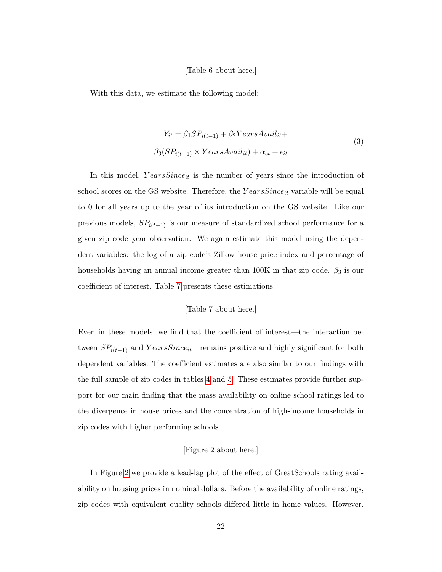### [Table 6 about here.]

<span id="page-21-0"></span>With this data, we estimate the following model:

$$
Y_{it} = \beta_1 SP_{i(t-1)} + \beta_2 YearsAvail_{it} +
$$
  

$$
\beta_3 (SP_{i(t-1)} \times YearsAvail_{it}) + \alpha_{ct} + \epsilon_{it}
$$
 (3)

In this model, *Y earsSinceit* is the number of years since the introduction of school scores on the GS website. Therefore, the *Y earsSinceit* variable will be equal to 0 for all years up to the year of its introduction on the GS website. Like our previous models,  $SP_{i(t-1)}$  is our measure of standardized school performance for a given zip code–year observation. We again estimate this model using the dependent variables: the log of a zip code's Zillow house price index and percentage of households having an annual income greater than  $100K$  in that zip code.  $\beta_3$  is our coefficient of interest. Table [7](#page-39-0) presents these estimations.

[Table 7 about here.]

Even in these models, we find that the coefficient of interest—the interaction between  $SP_{i(t-1)}$  and  $YearsSince_{it}$ —remains positive and highly significant for both dependent variables. The coefficient estimates are also similar to our findings with the full sample of zip codes in tables [4](#page-36-0) and [5.](#page-37-0) These estimates provide further support for our main finding that the mass availability on online school ratings led to the divergence in house prices and the concentration of high-income households in zip codes with higher performing schools.

### [Figure 2 about here.]

In Figure [2](#page-31-0) we provide a lead-lag plot of the effect of GreatSchools rating availability on housing prices in nominal dollars. Before the availability of online ratings, zip codes with equivalent quality schools differed little in home values. However,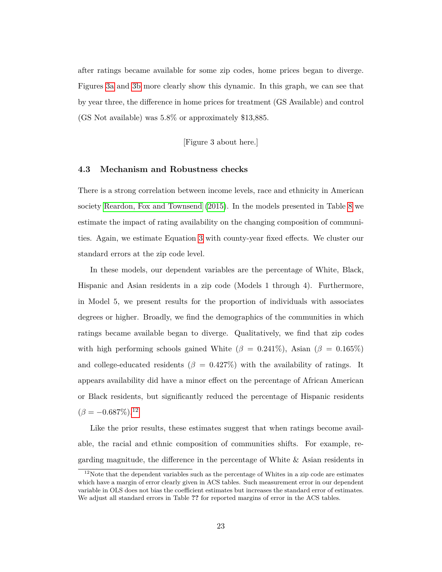after ratings became available for some zip codes, home prices began to diverge. Figures [3a](#page-32-0) and [3b](#page-32-0) more clearly show this dynamic. In this graph, we can see that by year three, the difference in home prices for treatment (GS Available) and control (GS Not available) was 5.8% or approximately \$13,885.

[Figure 3 about here.]

### **4.3 Mechanism and Robustness checks**

There is a strong correlation between income levels, race and ethnicity in American society [Reardon, Fox and Townsend](#page-28-6) [\(2015\)](#page-28-6). In the models presented in Table [8](#page-40-0) we estimate the impact of rating availability on the changing composition of communities. Again, we estimate Equation [3](#page-21-0) with county-year fixed effects. We cluster our standard errors at the zip code level.

In these models, our dependent variables are the percentage of White, Black, Hispanic and Asian residents in a zip code (Models 1 through 4). Furthermore, in Model 5, we present results for the proportion of individuals with associates degrees or higher. Broadly, we find the demographics of the communities in which ratings became available began to diverge. Qualitatively, we find that zip codes with high performing schools gained White ( $\beta = 0.241\%$ ), Asian ( $\beta = 0.165\%$ ) and college-educated residents ( $\beta = 0.427\%$ ) with the availability of ratings. It appears availability did have a minor effect on the percentage of African American or Black residents, but significantly reduced the percentage of Hispanic residents  $(\beta = -0.687\%).^{12}$  $(\beta = -0.687\%).^{12}$  $(\beta = -0.687\%).^{12}$ 

Like the prior results, these estimates suggest that when ratings become available, the racial and ethnic composition of communities shifts. For example, regarding magnitude, the difference in the percentage of White & Asian residents in

<span id="page-22-0"></span> $12$ Note that the dependent variables such as the percentage of Whites in a zip code are estimates which have a margin of error clearly given in ACS tables. Such measurement error in our dependent variable in OLS does not bias the coefficient estimates but increases the standard error of estimates. We adjust all standard errors in Table **??** for reported margins of error in the ACS tables.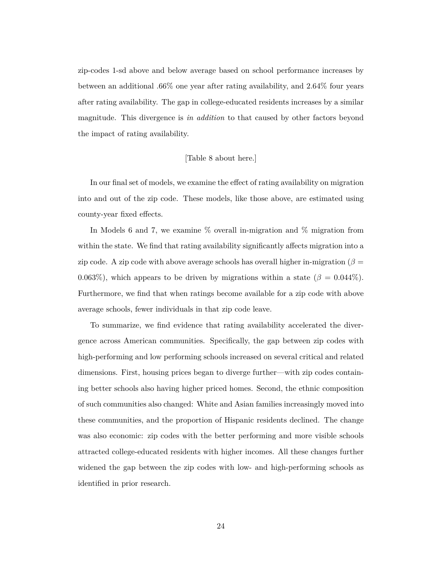zip-codes 1-sd above and below average based on school performance increases by between an additional .66% one year after rating availability, and 2.64% four years after rating availability. The gap in college-educated residents increases by a similar magnitude. This divergence is *in addition* to that caused by other factors beyond the impact of rating availability.

### [Table 8 about here.]

In our final set of models, we examine the effect of rating availability on migration into and out of the zip code. These models, like those above, are estimated using county-year fixed effects.

In Models 6 and 7, we examine % overall in-migration and % migration from within the state. We find that rating availability significantly affects migration into a zip code. A zip code with above average schools has overall higher in-migration ( $\beta =$ 0.063%), which appears to be driven by migrations within a state ( $\beta = 0.044\%$ ). Furthermore, we find that when ratings become available for a zip code with above average schools, fewer individuals in that zip code leave.

To summarize, we find evidence that rating availability accelerated the divergence across American communities. Specifically, the gap between zip codes with high-performing and low performing schools increased on several critical and related dimensions. First, housing prices began to diverge further—with zip codes containing better schools also having higher priced homes. Second, the ethnic composition of such communities also changed: White and Asian families increasingly moved into these communities, and the proportion of Hispanic residents declined. The change was also economic: zip codes with the better performing and more visible schools attracted college-educated residents with higher incomes. All these changes further widened the gap between the zip codes with low- and high-performing schools as identified in prior research.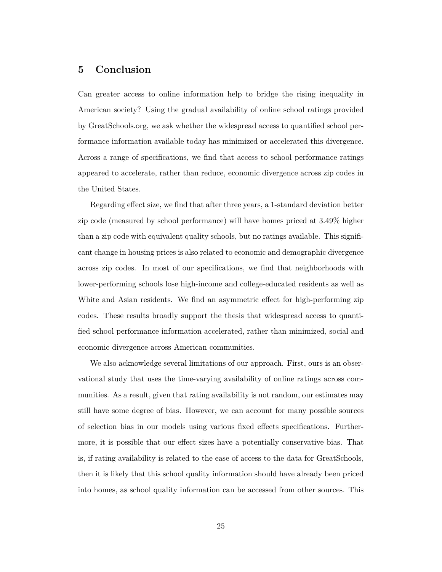# **5 Conclusion**

Can greater access to online information help to bridge the rising inequality in American society? Using the gradual availability of online school ratings provided by GreatSchools.org, we ask whether the widespread access to quantified school performance information available today has minimized or accelerated this divergence. Across a range of specifications, we find that access to school performance ratings appeared to accelerate, rather than reduce, economic divergence across zip codes in the United States.

Regarding effect size, we find that after three years, a 1-standard deviation better zip code (measured by school performance) will have homes priced at 3.49% higher than a zip code with equivalent quality schools, but no ratings available. This significant change in housing prices is also related to economic and demographic divergence across zip codes. In most of our specifications, we find that neighborhoods with lower-performing schools lose high-income and college-educated residents as well as White and Asian residents. We find an asymmetric effect for high-performing zip codes. These results broadly support the thesis that widespread access to quantified school performance information accelerated, rather than minimized, social and economic divergence across American communities.

We also acknowledge several limitations of our approach. First, ours is an observational study that uses the time-varying availability of online ratings across communities. As a result, given that rating availability is not random, our estimates may still have some degree of bias. However, we can account for many possible sources of selection bias in our models using various fixed effects specifications. Furthermore, it is possible that our effect sizes have a potentially conservative bias. That is, if rating availability is related to the ease of access to the data for GreatSchools, then it is likely that this school quality information should have already been priced into homes, as school quality information can be accessed from other sources. This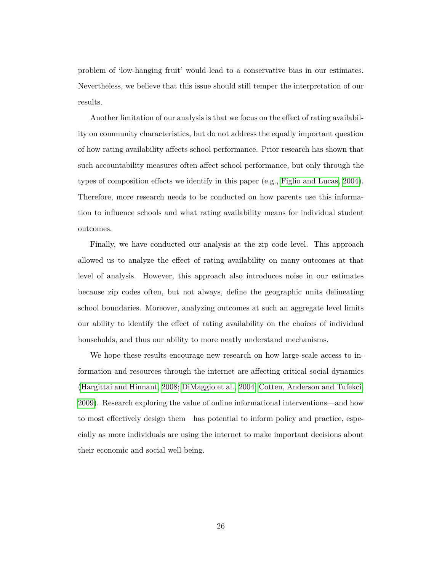problem of 'low-hanging fruit' would lead to a conservative bias in our estimates. Nevertheless, we believe that this issue should still temper the interpretation of our results.

Another limitation of our analysis is that we focus on the effect of rating availability on community characteristics, but do not address the equally important question of how rating availability affects school performance. Prior research has shown that such accountability measures often affect school performance, but only through the types of composition effects we identify in this paper (e.g., [Figlio and Lucas, 2004\)](#page-27-6). Therefore, more research needs to be conducted on how parents use this information to influence schools and what rating availability means for individual student outcomes.

Finally, we have conducted our analysis at the zip code level. This approach allowed us to analyze the effect of rating availability on many outcomes at that level of analysis. However, this approach also introduces noise in our estimates because zip codes often, but not always, define the geographic units delineating school boundaries. Moreover, analyzing outcomes at such an aggregate level limits our ability to identify the effect of rating availability on the choices of individual households, and thus our ability to more neatly understand mechanisms.

We hope these results encourage new research on how large-scale access to information and resources through the internet are affecting critical social dynamics [\(Hargittai and Hinnant, 2008;](#page-27-14) [DiMaggio et al., 2004;](#page-26-11) [Cotten, Anderson and Tufekci,](#page-26-12) [2009\)](#page-26-12). Research exploring the value of online informational interventions—and how to most effectively design them—has potential to inform policy and practice, especially as more individuals are using the internet to make important decisions about their economic and social well-being.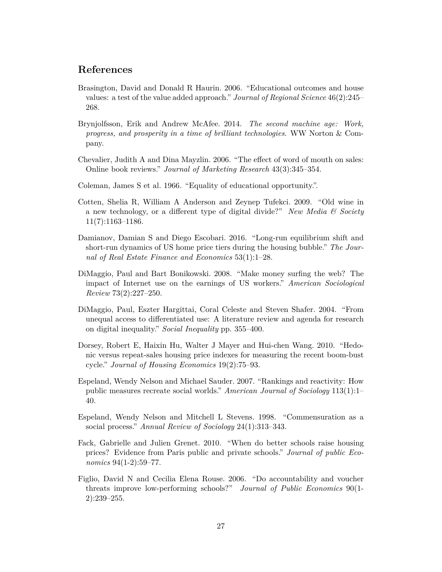# **References**

- <span id="page-26-8"></span>Brasington, David and Donald R Haurin. 2006. "Educational outcomes and house values: a test of the value added approach." *Journal of Regional Science* 46(2):245– 268.
- <span id="page-26-0"></span>Brynjolfsson, Erik and Andrew McAfee. 2014. *The second machine age: Work, progress, and prosperity in a time of brilliant technologies*. WW Norton & Company.
- <span id="page-26-6"></span>Chevalier, Judith A and Dina Mayzlin. 2006. "The effect of word of mouth on sales: Online book reviews." *Journal of Marketing Research* 43(3):345–354.
- <span id="page-26-3"></span>Coleman, James S et al. 1966. "Equality of educational opportunity.".
- <span id="page-26-12"></span>Cotten, Shelia R, William A Anderson and Zeynep Tufekci. 2009. "Old wine in a new technology, or a different type of digital divide?" *New Media & Society* 11(7):1163–1186.
- <span id="page-26-10"></span>Damianov, Damian S and Diego Escobari. 2016. "Long-run equilibrium shift and short-run dynamics of US home price tiers during the housing bubble." *The Journal of Real Estate Finance and Economics* 53(1):1–28.
- <span id="page-26-1"></span>DiMaggio, Paul and Bart Bonikowski. 2008. "Make money surfing the web? The impact of Internet use on the earnings of US workers." *American Sociological Review* 73(2):227–250.
- <span id="page-26-11"></span>DiMaggio, Paul, Eszter Hargittai, Coral Celeste and Steven Shafer. 2004. "From unequal access to differentiated use: A literature review and agenda for research on digital inequality." *Social Inequality* pp. 355–400.
- <span id="page-26-9"></span>Dorsey, Robert E, Haixin Hu, Walter J Mayer and Hui-chen Wang. 2010. "Hedonic versus repeat-sales housing price indexes for measuring the recent boom-bust cycle." *Journal of Housing Economics* 19(2):75–93.
- <span id="page-26-2"></span>Espeland, Wendy Nelson and Michael Sauder. 2007. "Rankings and reactivity: How public measures recreate social worlds." *American Journal of Sociology* 113(1):1– 40.
- <span id="page-26-5"></span>Espeland, Wendy Nelson and Mitchell L Stevens. 1998. "Commensuration as a social process." *Annual Review of Sociology* 24(1):313–343.
- <span id="page-26-7"></span>Fack, Gabrielle and Julien Grenet. 2010. "When do better schools raise housing prices? Evidence from Paris public and private schools." *Journal of public Economics* 94(1-2):59–77.
- <span id="page-26-4"></span>Figlio, David N and Cecilia Elena Rouse. 2006. "Do accountability and voucher threats improve low-performing schools?" *Journal of Public Economics* 90(1- 2):239–255.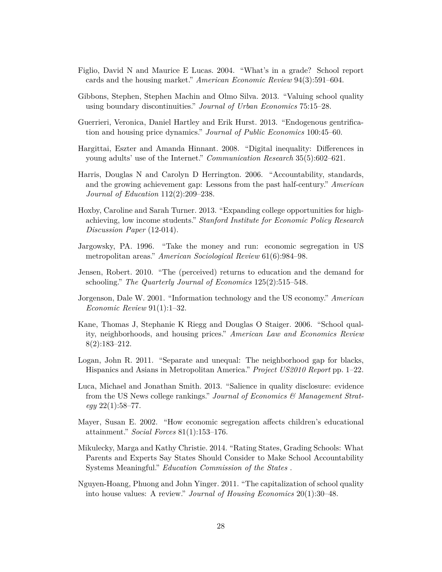- <span id="page-27-6"></span>Figlio, David N and Maurice E Lucas. 2004. "What's in a grade? School report cards and the housing market." *American Economic Review* 94(3):591–604.
- <span id="page-27-3"></span>Gibbons, Stephen, Stephen Machin and Olmo Silva. 2013. "Valuing school quality using boundary discontinuities." *Journal of Urban Economics* 75:15–28.
- <span id="page-27-13"></span>Guerrieri, Veronica, Daniel Hartley and Erik Hurst. 2013. "Endogenous gentrification and housing price dynamics." *Journal of Public Economics* 100:45–60.
- <span id="page-27-14"></span>Hargittai, Eszter and Amanda Hinnant. 2008. "Digital inequality: Differences in young adults' use of the Internet." *Communication Research* 35(5):602–621.
- <span id="page-27-10"></span>Harris, Douglas N and Carolyn D Herrington. 2006. "Accountability, standards, and the growing achievement gap: Lessons from the past half-century." *American Journal of Education* 112(2):209–238.
- <span id="page-27-12"></span>Hoxby, Caroline and Sarah Turner. 2013. "Expanding college opportunities for highachieving, low income students." *Stanford Institute for Economic Policy Research Discussion Paper* (12-014).
- <span id="page-27-7"></span>Jargowsky, PA. 1996. "Take the money and run: economic segregation in US metropolitan areas." *American Sociological Review* 61(6):984–98.
- <span id="page-27-11"></span>Jensen, Robert. 2010. "The (perceived) returns to education and the demand for schooling." *The Quarterly Journal of Economics* 125(2):515–548.
- <span id="page-27-0"></span>Jorgenson, Dale W. 2001. "Information technology and the US economy." *American Economic Review* 91(1):1–32.
- <span id="page-27-2"></span>Kane, Thomas J, Stephanie K Riegg and Douglas O Staiger. 2006. "School quality, neighborhoods, and housing prices." *American Law and Economics Review* 8(2):183–212.
- <span id="page-27-9"></span>Logan, John R. 2011. "Separate and unequal: The neighborhood gap for blacks, Hispanics and Asians in Metropolitan America." *Project US2010 Report* pp. 1–22.
- <span id="page-27-1"></span>Luca, Michael and Jonathan Smith. 2013. "Salience in quality disclosure: evidence from the US News college rankings." *Journal of Economics & Management Strategy* 22(1):58–77.
- <span id="page-27-8"></span>Mayer, Susan E. 2002. "How economic segregation affects children's educational attainment." *Social Forces* 81(1):153–176.
- <span id="page-27-5"></span>Mikulecky, Marga and Kathy Christie. 2014. "Rating States, Grading Schools: What Parents and Experts Say States Should Consider to Make School Accountability Systems Meaningful." *Education Commission of the States* .
- <span id="page-27-4"></span>Nguyen-Hoang, Phuong and John Yinger. 2011. "The capitalization of school quality into house values: A review." *Journal of Housing Economics* 20(1):30–48.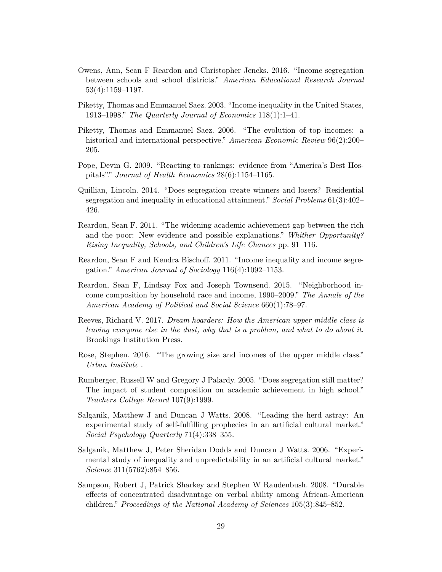- <span id="page-28-1"></span>Owens, Ann, Sean F Reardon and Christopher Jencks. 2016. "Income segregation between schools and school districts." *American Educational Research Journal* 53(4):1159–1197.
- <span id="page-28-4"></span>Piketty, Thomas and Emmanuel Saez. 2003. "Income inequality in the United States, 1913–1998." *The Quarterly Journal of Economics* 118(1):1–41.
- <span id="page-28-3"></span>Piketty, Thomas and Emmanuel Saez. 2006. "The evolution of top incomes: a historical and international perspective." *American Economic Review* 96(2):200– 205.
- <span id="page-28-12"></span>Pope, Devin G. 2009. "Reacting to rankings: evidence from "America's Best Hospitals"." *Journal of Health Economics* 28(6):1154–1165.
- <span id="page-28-8"></span>Quillian, Lincoln. 2014. "Does segregation create winners and losers? Residential segregation and inequality in educational attainment." *Social Problems* 61(3):402– 426.
- <span id="page-28-7"></span>Reardon, Sean F. 2011. "The widening academic achievement gap between the rich and the poor: New evidence and possible explanations." *Whither Opportunity? Rising Inequality, Schools, and Children's Life Chances* pp. 91–116.
- <span id="page-28-2"></span>Reardon, Sean F and Kendra Bischoff. 2011. "Income inequality and income segregation." *American Journal of Sociology* 116(4):1092–1153.
- <span id="page-28-6"></span>Reardon, Sean F, Lindsay Fox and Joseph Townsend. 2015. "Neighborhood income composition by household race and income, 1990–2009." *The Annals of the American Academy of Political and Social Science* 660(1):78–97.
- <span id="page-28-5"></span>Reeves, Richard V. 2017. *Dream hoarders: How the American upper middle class is leaving everyone else in the dust, why that is a problem, and what to do about it*. Brookings Institution Press.
- <span id="page-28-13"></span>Rose, Stephen. 2016. "The growing size and incomes of the upper middle class." *Urban Institute* .
- <span id="page-28-10"></span>Rumberger, Russell W and Gregory J Palardy. 2005. "Does segregation still matter? The impact of student composition on academic achievement in high school." *Teachers College Record* 107(9):1999.
- <span id="page-28-11"></span>Salganik, Matthew J and Duncan J Watts. 2008. "Leading the herd astray: An experimental study of self-fulfilling prophecies in an artificial cultural market." *Social Psychology Quarterly* 71(4):338–355.
- <span id="page-28-0"></span>Salganik, Matthew J, Peter Sheridan Dodds and Duncan J Watts. 2006. "Experimental study of inequality and unpredictability in an artificial cultural market." *Science* 311(5762):854–856.
- <span id="page-28-9"></span>Sampson, Robert J, Patrick Sharkey and Stephen W Raudenbush. 2008. "Durable effects of concentrated disadvantage on verbal ability among African-American children." *Proceedings of the National Academy of Sciences* 105(3):845–852.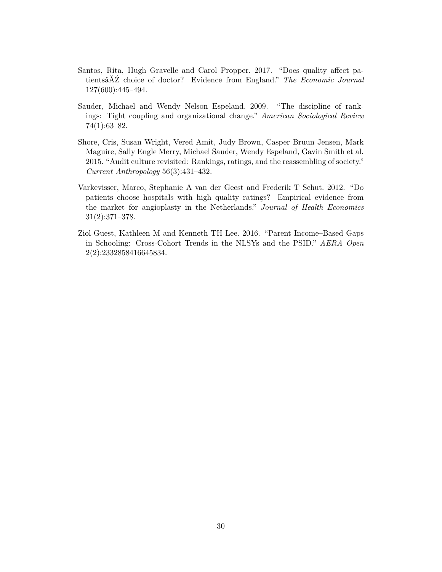- <span id="page-29-0"></span>Santos, Rita, Hugh Gravelle and Carol Propper. 2017. "Does quality affect patientsâĂŹ choice of doctor? Evidence from England." *The Economic Journal* 127(600):445–494.
- <span id="page-29-2"></span>Sauder, Michael and Wendy Nelson Espeland. 2009. "The discipline of rankings: Tight coupling and organizational change." *American Sociological Review* 74(1):63–82.
- <span id="page-29-1"></span>Shore, Cris, Susan Wright, Vered Amit, Judy Brown, Casper Bruun Jensen, Mark Maguire, Sally Engle Merry, Michael Sauder, Wendy Espeland, Gavin Smith et al. 2015. "Audit culture revisited: Rankings, ratings, and the reassembling of society." *Current Anthropology* 56(3):431–432.
- <span id="page-29-4"></span>Varkevisser, Marco, Stephanie A van der Geest and Frederik T Schut. 2012. "Do patients choose hospitals with high quality ratings? Empirical evidence from the market for angioplasty in the Netherlands." *Journal of Health Economics* 31(2):371–378.
- <span id="page-29-3"></span>Ziol-Guest, Kathleen M and Kenneth TH Lee. 2016. "Parent Income–Based Gaps in Schooling: Cross-Cohort Trends in the NLSYs and the PSID." *AERA Open* 2(2):2332858416645834.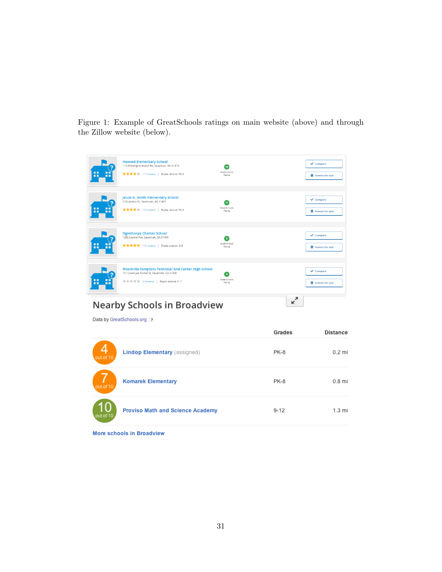<span id="page-30-0"></span>Figure 1: Example of GreatSchools ratings on main website (above) and through the Zillow website (below).

| <b>Howard Elementary School</b><br>$\vee$ Compare<br>115 Wilmington Island Rd, Savannah, GA 31410<br>10 <sup>10</sup><br>GreatSchools<br><br>★★★★ 17 reviews   Public district PK-5<br>Rating<br><b>R</b> Homes for sale<br>. .<br>Jacob G. Smith Elementary School<br>$\vee$ Compare<br>210 Lamara Dr, Savannah, GA 31405<br>$\mathbf{q}$<br>GreatSchools<br><br>★★★★★ 19 reviews   Public district PK-5<br>Rating<br>. .<br><b>R</b> Homes for sale<br><b>Oglethorpe Charter School</b><br>$\vee$ Compare<br>7202 Central Ave, Savannah, GA 31406<br>$\ddot{\mathbf{q}}$<br>GreatSchools<br><br>★★★★★ 14 reviews   Public charter 6-8<br>Rating<br>. .<br><b>R</b> Homes for sale<br>Woodville-Tompkins Technical And Career High School<br>$\vee$ Compare<br>151 Coach Joe Turner St, Savannah, GA 31408<br>$\bullet$<br>GreatSchools<br><br>食食食食 0 reviews   Public district 9-11<br>Rating<br><b>R</b> Homes for sale<br><br>ᄌ<br>v<br><b>Nearby Schools in Broadview</b><br>Data by GreatSchools.org 2 |  | Grades | <b>Distance</b> |
|--------------------------------------------------------------------------------------------------------------------------------------------------------------------------------------------------------------------------------------------------------------------------------------------------------------------------------------------------------------------------------------------------------------------------------------------------------------------------------------------------------------------------------------------------------------------------------------------------------------------------------------------------------------------------------------------------------------------------------------------------------------------------------------------------------------------------------------------------------------------------------------------------------------------------------------------------------------------------------------------------------------|--|--------|-----------------|
|                                                                                                                                                                                                                                                                                                                                                                                                                                                                                                                                                                                                                                                                                                                                                                                                                                                                                                                                                                                                              |  |        |                 |
|                                                                                                                                                                                                                                                                                                                                                                                                                                                                                                                                                                                                                                                                                                                                                                                                                                                                                                                                                                                                              |  |        |                 |
|                                                                                                                                                                                                                                                                                                                                                                                                                                                                                                                                                                                                                                                                                                                                                                                                                                                                                                                                                                                                              |  |        |                 |
|                                                                                                                                                                                                                                                                                                                                                                                                                                                                                                                                                                                                                                                                                                                                                                                                                                                                                                                                                                                                              |  |        |                 |
|                                                                                                                                                                                                                                                                                                                                                                                                                                                                                                                                                                                                                                                                                                                                                                                                                                                                                                                                                                                                              |  |        |                 |

| out of 10 | <b>Lindop Elementary (assigned)</b>     | PK-8     | $0.2$ mi         |
|-----------|-----------------------------------------|----------|------------------|
| out of 10 | <b>Komarek Elementary</b>               | PK-8     | $0.8$ mi         |
| out of 10 | <b>Proviso Math and Science Academy</b> | $9 - 12$ | $1.3 \text{ mi}$ |

More schools in Broadview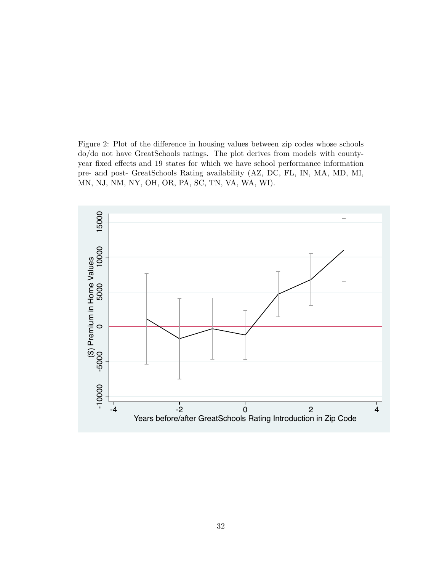<span id="page-31-0"></span>Figure 2: Plot of the difference in housing values between zip codes whose schools do/do not have GreatSchools ratings. The plot derives from models with countyyear fixed effects and 19 states for which we have school performance information pre- and post- GreatSchools Rating availability (AZ, DC, FL, IN, MA, MD, MI, MN, NJ, NM, NY, OH, OR, PA, SC, TN, VA, WA, WI).

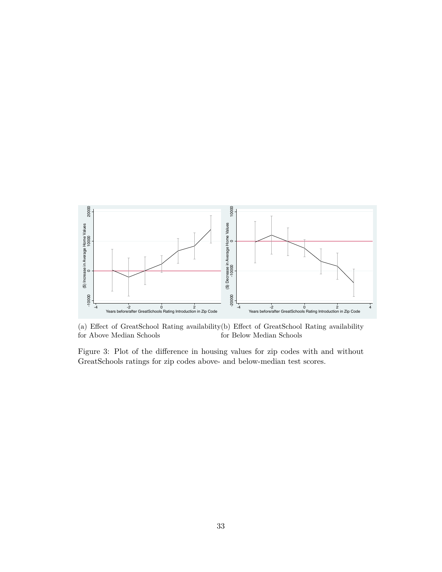<span id="page-32-0"></span>

(a) Effect of GreatSchool Rating availability (b) Effect of GreatSchool Rating availability for Above Median Schools for Below Median Schools

Figure 3: Plot of the difference in housing values for zip codes with and without GreatSchools ratings for zip codes above- and below-median test scores.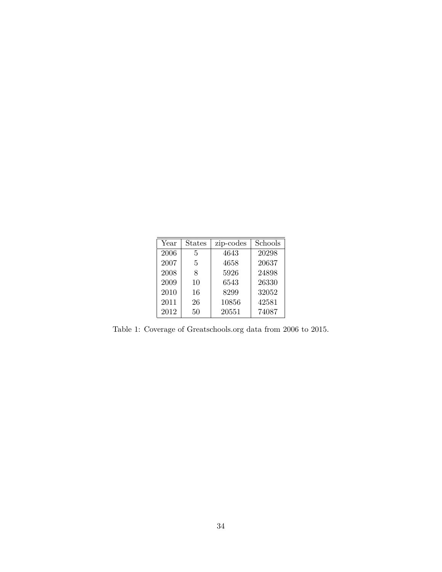<span id="page-33-0"></span>

| Year | <b>States</b> | zip-codes | Schools |
|------|---------------|-----------|---------|
| 2006 | 5             | 4643      | 20298   |
| 2007 | 5             | 4658      | 20637   |
| 2008 | 8             | 5926      | 24898   |
| 2009 | 10            | 6543      | 26330   |
| 2010 | 16            | 8299      | 32052   |
| 2011 | 26            | 10856     | 42581   |
| 2012 | 50            | 20551     | 74087   |

Table 1: Coverage of Greatschools.org data from 2006 to 2015.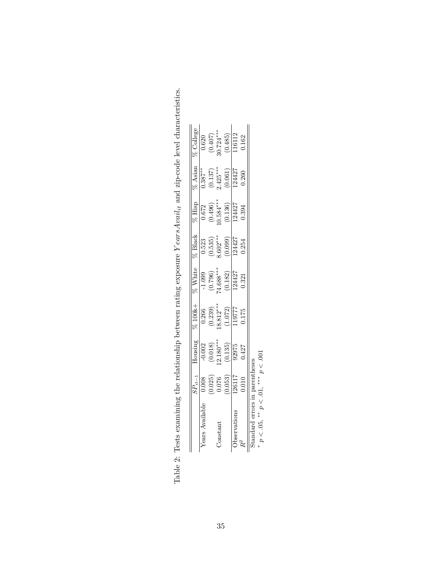|                  | $SP_{it-1}$                                                                           |                                                                                                                                             |                                                                                                                                                    |                                                                                                   |                                                                                                                                                                                        |                                                                                                                |                                                                                                                                                                                                                                    |                                                                             |
|------------------|---------------------------------------------------------------------------------------|---------------------------------------------------------------------------------------------------------------------------------------------|----------------------------------------------------------------------------------------------------------------------------------------------------|---------------------------------------------------------------------------------------------------|----------------------------------------------------------------------------------------------------------------------------------------------------------------------------------------|----------------------------------------------------------------------------------------------------------------|------------------------------------------------------------------------------------------------------------------------------------------------------------------------------------------------------------------------------------|-----------------------------------------------------------------------------|
| Availab<br>ears. |                                                                                       |                                                                                                                                             |                                                                                                                                                    |                                                                                                   |                                                                                                                                                                                        |                                                                                                                |                                                                                                                                                                                                                                    |                                                                             |
|                  |                                                                                       |                                                                                                                                             |                                                                                                                                                    |                                                                                                   |                                                                                                                                                                                        |                                                                                                                |                                                                                                                                                                                                                                    |                                                                             |
| Constant         |                                                                                       |                                                                                                                                             |                                                                                                                                                    |                                                                                                   |                                                                                                                                                                                        |                                                                                                                |                                                                                                                                                                                                                                    |                                                                             |
|                  | $\begin{array}{r} 0.008 \\ 0.025) \\ 0.076 \\ 0.053) \\ 126117 \\ 126117 \end{array}$ | $\begin{array}{l} \text{Iousing} \\ \hline 0.002 \\ (0.018) \\ (1.30^{***} \\ (0.135) \\ (0.135) \\ (0.13975 \\ 92975 \\ 0.427 \end{array}$ | $\begin{array}{c} \hline 76\,100k+ \ \hline 0.266\, \ (0.239) \ \hline 0.8312^{***} \ \hline 1.072) \ \hline 1.19777 \ \hline 1.19777 \end{array}$ | $\frac{7}{100}$<br>$\frac{100}{(0.796)}$<br>$\frac{(0.796)}{(10.88)}$<br>$\frac{(0.182)}{124427}$ | $\begin{array}{c} \times \text{Black} \ \hline 0.523 \ \hline 0.535 \ \hline 0.535 \ \hline 0.535 \ \hline 0.099 \ \hline 0.0099 \ \hline 124427 \ \hline 124427 \ \hline \end{array}$ | $\frac{\% \text{ High}}{0.672}$<br>$\frac{0.672}{0.0496}$<br>$\frac{0.496}{0.584**}$<br>$\frac{0.136}{124427}$ | $\begin{array}{l} \n\sqrt{6} \text{ Asian} \\ \n\boxed{0.387^{**}} \\ \n\boxed{0.137} \\ \n\boxed{2.425^{***}} \\ \n\boxed{0.061} \\ \n\boxed{124427} \\ \n\boxed{124427} \\ \n\boxed{124427} \\ \n\boxed{0.260} \\ \n\end{array}$ | % College<br>0.620<br>0.407)<br>0.407<br>30.724***<br><u>0.162</u><br>0.162 |
|                  |                                                                                       |                                                                                                                                             |                                                                                                                                                    |                                                                                                   |                                                                                                                                                                                        |                                                                                                                |                                                                                                                                                                                                                                    |                                                                             |
|                  |                                                                                       |                                                                                                                                             |                                                                                                                                                    |                                                                                                   |                                                                                                                                                                                        | 1.394                                                                                                          |                                                                                                                                                                                                                                    |                                                                             |

<span id="page-34-0"></span>Table 2: Tests examining the relationship between rating exposure  $YearsAval_{it}$  and zip-code level characteristics. Table 2: Tests examining the relationship between rating exposure *Y earsAvailit* and zip-code level characteristics.

35

∗

Standard errors in parentheses *p < .*05, ∗∗ *p < .*01, ∗∗∗ *p < .*001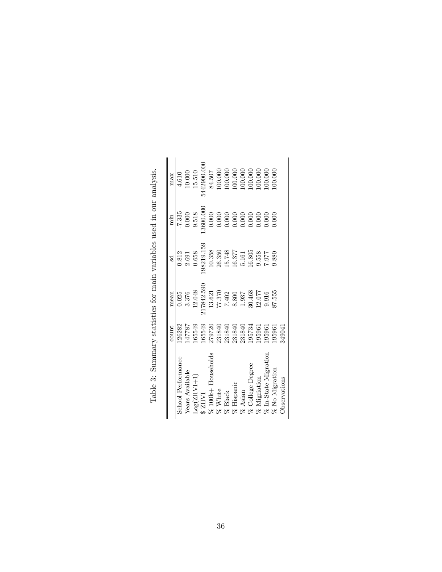<span id="page-35-0"></span>

| 165549<br>165549<br>187787<br>126282<br>School Performance<br>ears Available<br>$Log(ZHY1+1)$<br><b>INHZ</b> | 3.376<br>0.025 |                                |                  | max                                                          |
|--------------------------------------------------------------------------------------------------------------|----------------|--------------------------------|------------------|--------------------------------------------------------------|
|                                                                                                              |                | 0.812                          | $-7.335$         | 4.610                                                        |
|                                                                                                              |                | 2.691                          | 0.000            |                                                              |
|                                                                                                              | 12.048         | 0.658                          | 9.518            | $10.000$<br>$15.510$                                         |
|                                                                                                              | 217842.590     | 98219.159                      | 3600.000         | 5442900.00C                                                  |
| 279720<br>100k+ Households                                                                                   | 13.621         | 10.358                         | 0.000            | 84.507                                                       |
| 231840<br>White                                                                                              | 77.370         |                                | $0.000$<br>0.000 |                                                              |
| 231840<br>% Black                                                                                            | 7.402          |                                |                  |                                                              |
| 231840<br>$\%$ Hispanic                                                                                      | 8.800          | $\frac{26.350}{15.748}$ 15.748 | 0.000            | $\begin{array}{c} 100.000 \\ 100.000 \\ 100.000 \end{array}$ |
| 231840<br>195734<br>Asian                                                                                    | 1.937          | 5.161                          | 0.000            | $\begin{array}{c} 100.000 \\ 100.000 \\ 100.000 \end{array}$ |
| College Degree                                                                                               | 30.468         | $16.805$                       | 0.000            |                                                              |
| 195961<br>$\delta$ Migriation                                                                                | 12.077         | 9.558                          | 0.000            |                                                              |
| 195961<br>6 In-State Migration                                                                               | 9.916          | 770.7                          | 0.000            | 00.000                                                       |
| 195961<br>% No Migration                                                                                     | 87.555         | 9.880                          | 0.000            | 00.000                                                       |
| 349041<br><b>J</b> bservations                                                                               |                |                                |                  |                                                              |

Table 3: Summary statistics for main variables used in our analysis. Table 3: Summary statistics for main variables used in our analysis.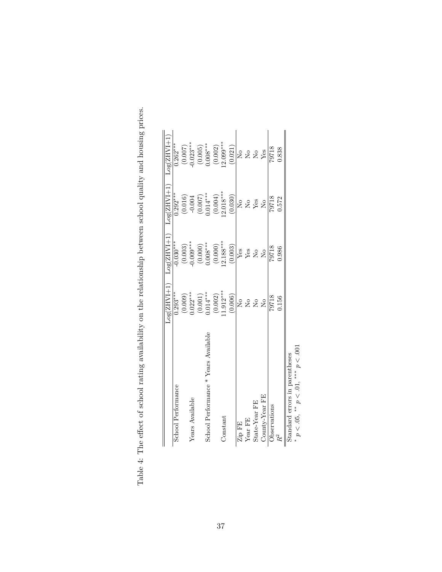|                                      | $Log(ZHVI+1)$            | $Log(ZHVI+1)$                                                                    | $Log(ZHVI+1)$                                    | $Log(ZHVI+1)$              |
|--------------------------------------|--------------------------|----------------------------------------------------------------------------------|--------------------------------------------------|----------------------------|
| School Performance                   | $0.293***$               | $-0.030***$                                                                      | $0.292***$                                       | $0.262***$                 |
|                                      |                          |                                                                                  |                                                  |                            |
| Years Available                      | $(0.009)$<br>$0.022***$  | $(0.003)$<br>$-0.009***$                                                         |                                                  | $(0.007)$<br>$0.023***$    |
|                                      |                          | $\begin{array}{c} (0.000) \\ 0.008^{***} \\ (0.000) \\ 12.188^{***} \end{array}$ | $(0.016)$<br>$-0.004$<br>$(0.007)$<br>$0.014***$ | (0.005)                    |
| School Performance * Years Available | $(0.001)$<br>$0.014***$  |                                                                                  |                                                  | $0.008***$                 |
|                                      | (0.002)                  |                                                                                  |                                                  |                            |
| Constant                             | $1.912***$               |                                                                                  | $(0.004)$<br>12.018***                           | $(0.002)$<br>12.099***     |
|                                      | (0.006)                  | (0.003)                                                                          | (0.030)                                          | (0.021)                    |
| Zip FE                               | $\mathcal{S}^{\circ}$    | Yes                                                                              | $\mathop{\rm N}_0$                               | $\mathop{\rm S}\nolimits$  |
| Year FE                              | $\tilde{\Sigma}^{\circ}$ | ${\rm Yes}$                                                                      |                                                  | $\mathcal{S}_{\mathsf{N}}$ |
| State-Year FE                        | $\overline{S}$           | $\overline{S}$                                                                   | No<br>Yes                                        | $\overline{R}$             |
| County-Year FE                       | Σó                       | $\overline{\mathsf{X}}$                                                          | $\overline{\mathsf{S}}$                          | Yes                        |
| Observations                         | 79718                    | 79718                                                                            | 79718                                            | 79718                      |
|                                      | 0.156                    | 0.986                                                                            | 1.572                                            | 0.838                      |

<span id="page-36-0"></span>

| ř                                 |
|-----------------------------------|
|                                   |
| and hous                          |
|                                   |
|                                   |
| vill Blue                         |
|                                   |
| COO                               |
| è<br>U                            |
|                                   |
|                                   |
| ationship bet.                    |
|                                   |
| he rela                           |
|                                   |
| ting availability on tl.          |
|                                   |
|                                   |
|                                   |
|                                   |
|                                   |
|                                   |
|                                   |
|                                   |
|                                   |
| Table 4: The effect of school ray |
|                                   |
|                                   |
|                                   |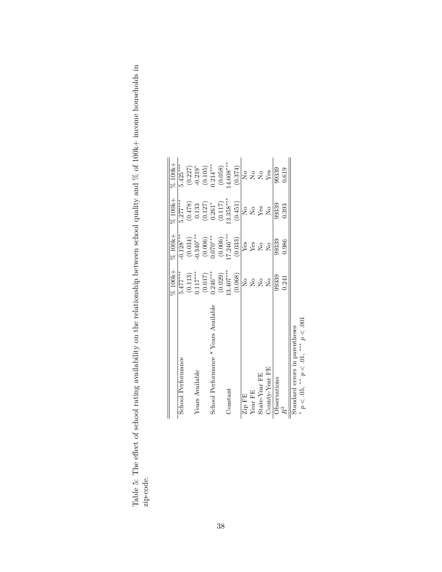|                                                                   | % 100k+                                            | % 100k+                 | $%100k +$                  | % 100k+              |
|-------------------------------------------------------------------|----------------------------------------------------|-------------------------|----------------------------|----------------------|
| School Performance                                                | $5.477***$                                         | $0.128***$              | $5.277***$                 | $5.425***$           |
|                                                                   |                                                    | (0.034)                 | (0.478)                    |                      |
| Years Available                                                   | $\begin{array}{c} (0.113) \\ 0.117*** \end{array}$ | $0.340***$              | 0.133                      | $(0.227)$<br>-0.219* |
|                                                                   | $(0.017)$<br>0.246***                              |                         | (0.127)                    | (0.105)              |
| School Performance * Years Available                              |                                                    | $(0.006)$<br>$0.070***$ | $0.261*$                   | $0.214***$           |
|                                                                   | (0.029)                                            | (0.006)                 | (0.117)                    | (0.058)              |
| Constant                                                          | $13.407***$                                        | $7.246***$              | $13.358***$                | $4.608***$           |
|                                                                   | (0.068)                                            | (0.033)                 | (0.451)                    | (0.374)              |
| Zip FE                                                            | $\mathsf{S}^{\mathsf{O}}$                          | $Y$ es                  | $\mathsf{S}^{\mathsf{O}}$  | Σò                   |
| Year FE                                                           | $\frac{1}{2}$                                      | ${\rm Yes}$             | $\mathcal{S}_{\mathbf{N}}$ | å<br>S               |
| State-Year FE                                                     | $\overline{\mathsf{S}}$                            | $\overline{\Sigma}$     | Yes                        | $\overline{R}$       |
| County-Year FE                                                    | $\overline{S}$                                     | $\overline{S}$          | $\overline{R}$             | Yes                  |
| Observations                                                      | 99339                                              | 99339                   | 99339                      | 99339                |
| $\tilde{R}^2$                                                     | 0.241                                              | 0.986                   | 0.393                      | 0.619                |
| * (V) (V) ** (V) (V) ** (V) (V)<br>Standard errors in parentheses |                                                    |                         |                            |                      |

<span id="page-37-0"></span>

| $\overline{1}$<br>S<br>C<br><b>CINCS</b><br>j<br>$\sim$ $\sim$ $\sim$ $\sim$ $\sim$ $\sim$ $\sim$ |            |
|---------------------------------------------------------------------------------------------------|------------|
| )<br>)<br>$\overline{a}$<br>ĺ<br>)<br>1                                                           |            |
| hold and the an<br>)<br>)<br>!<br>כם המאודד                                                       |            |
| $\frac{1}{2}$                                                                                     |            |
| try and the reletionship in that<br>.<br>נו<br>$\frac{1}{2}$                                      |            |
| $5 - 5$                                                                                           |            |
| J<br>֧֧֧֧֧֧֧֧֧֧֧֪ׅ֧֚֚֚֚֚֚֚֚֬֕֕֓֝֬֝֓֝֓֕֓֕֝֬֝֬֝֬֝֬֝֬֝֬֓<br>C<br>C                                   |            |
| こくしょく サウトウ<br>j<br>$\frac{1}{2}$<br>۔<br>د<br>ĺ                                                   |            |
| ・^ フィー・・<br>í                                                                                     | י<br>הדורה |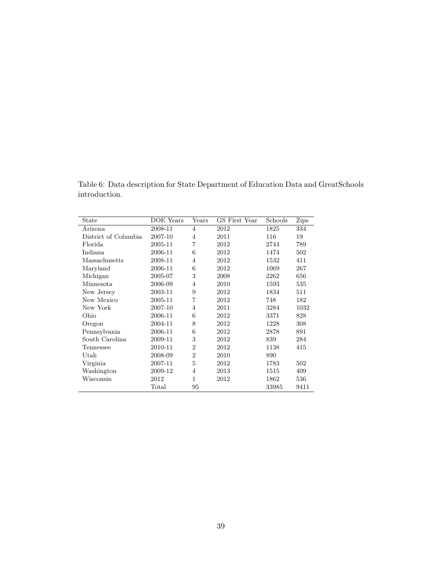<span id="page-38-0"></span>Table 6: Data description for State Department of Education Data and GreatSchools introduction.

| State                | DOE Years | Years          | GS First Year | Schools | <b>Zips</b> |
|----------------------|-----------|----------------|---------------|---------|-------------|
| Arizona              | 2008-11   | $\overline{4}$ | 2012          | 1825    | 334         |
| District of Columbia | 2007-10   | $\overline{4}$ | 2011          | 116     | 19          |
| Florida              | 2005-11   | $\overline{7}$ | 2012          | 2744    | 789         |
| Indiana              | 2006-11   | 6              | 2012          | 1474    | 502         |
| Massachusetts        | 2008-11   | $\overline{4}$ | 2012          | 1532    | 411         |
| Maryland             | 2006-11   | 6              | 2012          | 1069    | 267         |
| Michigan             | 2005-07   | 3              | 2008          | 2262    | 656         |
| Minnesota            | 2006-09   | $\overline{4}$ | 2010          | 1593    | 535         |
| New Jersey           | 2003-11   | 9              | 2012          | 1834    | 511         |
| New Mexico           | 2005-11   | $\overline{7}$ | 2012          | 748     | 182         |
| New York             | 2007-10   | $\overline{4}$ | 2011          | 3284    | 1032        |
| Ohio                 | 2006-11   | 6              | 2012          | 3371    | 828         |
| Oregon               | 2004-11   | 8              | 2012          | 1228    | 308         |
| Pennsylvania         | 2006-11   | 6              | 2012          | 2878    | 891         |
| South Carolina       | 2009-11   | 3              | 2012          | 839     | 284         |
| Tennessee            | 2010-11   | $\overline{2}$ | 2012          | 1138    | 415         |
| Utah                 | 2008-09   | $\overline{2}$ | 2010          | 890     |             |
| Virginia             | 2007-11   | 5              | 2012          | 1783    | 502         |
| Washington           | 2009-12   | $\overline{4}$ | 2013          | 1515    | 409         |
| Wisconsin            | 2012      | 1              | 2012          | 1862    | 536         |
|                      | Total     | 95             |               | 33985   | 9411        |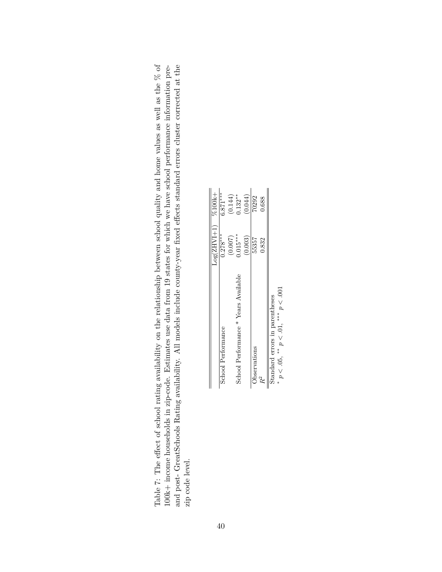<span id="page-39-0"></span>

|  | ailability. All models include county-year fixed effects standard errors cluster corrected at the<br>and post- GreatSchools Rating avai | $100k +$ income households in zip-code. Estimates use data from 19 states for which we have school performance information pre- | g availability on the relationship between school quality and home values as well as the $%$ of<br>Table 7: The effect of school rating |
|--|-----------------------------------------------------------------------------------------------------------------------------------------|---------------------------------------------------------------------------------------------------------------------------------|-----------------------------------------------------------------------------------------------------------------------------------------|
|--|-----------------------------------------------------------------------------------------------------------------------------------------|---------------------------------------------------------------------------------------------------------------------------------|-----------------------------------------------------------------------------------------------------------------------------------------|

|                                      | $Log(ZHVI+1)$ %100k+ |            |
|--------------------------------------|----------------------|------------|
| School Performance                   | $0.278***$           | $6.871***$ |
|                                      | (0.007)              | (0.144)    |
| School Performance * Years Available | $0.015***$           | $0.132**$  |
|                                      | (0.003)              | (0.044)    |
| Observations                         | 55357                | 70292      |
| $R^2$                                | 0.832                | 0.688      |
| Standard errors in parentheses       |                      |            |
| FUC 、 ※※※ FU 、 ※※ alU 、 ※            |                      |            |

*p < .*05, ∗∗ *p < .*01, ∗∗∗ *p < .*001